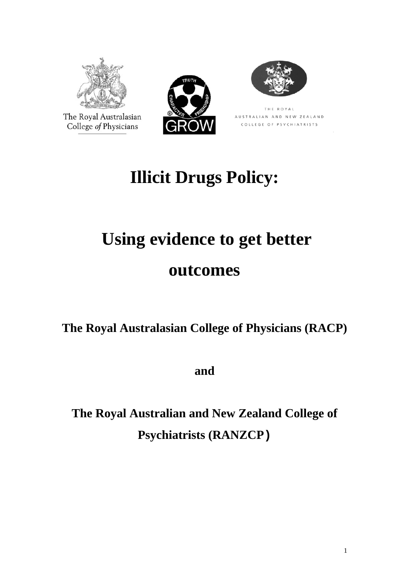

The Royal Australasian College of Physicians





THE ROYAL AUSTRALIAN AND NEW ZEALAND COLLEGE OF PSYCHIATRISTS

# **Illicit Drugs Policy:**

## **Using evidence to get better**

## **outcomes**

**The Royal Australasian College of Physicians (RACP)** 

**and** 

**The Royal Australian and New Zealand College of Psychiatrists (RANZCP)**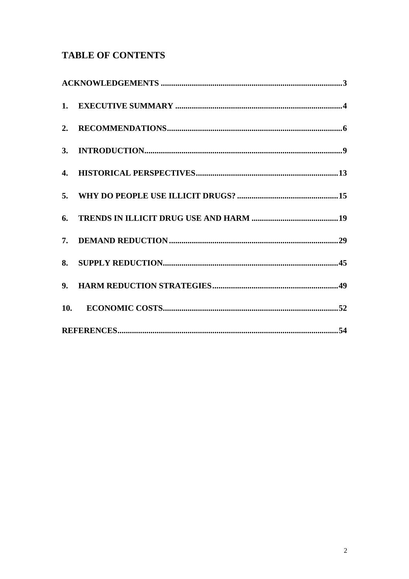### **TABLE OF CONTENTS**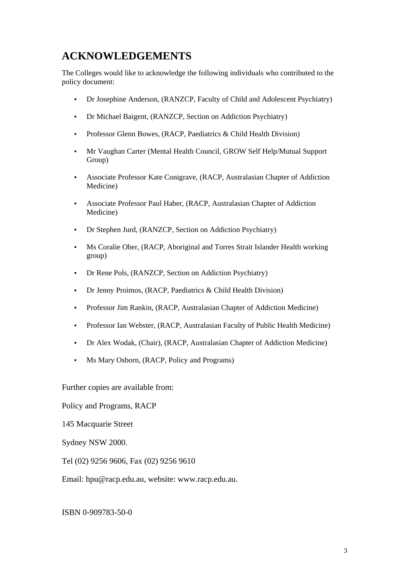### <span id="page-2-0"></span>**ACKNOWLEDGEMENTS**

The Colleges would like to acknowledge the following individuals who contributed to the policy document:

- Dr Josephine Anderson, (RANZCP, Faculty of Child and Adolescent Psychiatry)
- Dr Michael Baigent, (RANZCP, Section on Addiction Psychiatry)
- Professor Glenn Bowes, (RACP, Paediatrics & Child Health Division)
- Mr Vaughan Carter (Mental Health Council, GROW Self Help/Mutual Support Group)
- Associate Professor Kate Conigrave, (RACP, Australasian Chapter of Addiction Medicine)
- Associate Professor Paul Haber, (RACP, Australasian Chapter of Addiction Medicine)
- Dr Stephen Jurd, (RANZCP, Section on Addiction Psychiatry)
- Ms Coralie Ober, (RACP, Aboriginal and Torres Strait Islander Health working group)
- Dr Rene Pols, (RANZCP, Section on Addiction Psychiatry)
- Dr Jenny Proimos, (RACP, Paediatrics & Child Health Division)
- Professor Jim Rankin, (RACP, Australasian Chapter of Addiction Medicine)
- Professor Ian Webster, (RACP, Australasian Faculty of Public Health Medicine)
- Dr Alex Wodak, (Chair), (RACP, Australasian Chapter of Addiction Medicine)
- Ms Mary Osborn, (RACP, Policy and Programs)

Further copies are available from:

Policy and Programs, RACP

145 Macquarie Street

Sydney NSW 2000.

Tel (02) 9256 9606, Fax (02) 9256 9610

Email: [hpu@racp.edu.au](mailto:hpu@racp.edu.au), website: www.racp.edu.au.

ISBN 0-909783-50-0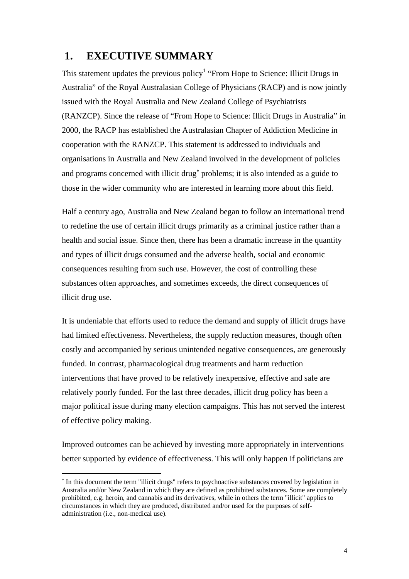### <span id="page-3-0"></span> **1. EXECUTIVE SUMMARY**

This statement updates the previous policy<sup>1</sup> "From Hope to Science: Illicit Drugs in Australia" of the Royal Australasian College of Physicians (RACP) and is now jointly issued with the Royal Australia and New Zealand College of Psychiatrists (RANZCP). Since the release of "From Hope to Science: Illicit Drugs in Australia" in 2000, the RACP has established the Australasian Chapter of Addiction Medicine in cooperation with the RANZCP. This statement is addressed to individuals and organisations in Australia and New Zealand involved in the development of policies and programs concerned with illicit drug<sup>\*</sup> problems; it is also intended as a guide to those in the wider community who are interested in learning more about this field.

Half a century ago, Australia and New Zealand began to follow an international trend to redefine the use of certain illicit drugs primarily as a criminal justice rather than a health and social issue. Since then, there has been a dramatic increase in the quantity and types of illicit drugs consumed and the adverse health, social and economic consequences resulting from such use. However, the cost of controlling these substances often approaches, and sometimes exceeds, the direct consequences of illicit drug use.

It is undeniable that efforts used to reduce the demand and supply of illicit drugs have had limited effectiveness. Nevertheless, the supply reduction measures, though often costly and accompanied by serious unintended negative consequences, are generously funded. In contrast, pharmacological drug treatments and harm reduction interventions that have proved to be relatively inexpensive, effective and safe are relatively poorly funded. For the last three decades, illicit drug policy has been a major political issue during many election campaigns. This has not served the interest of effective policy making.

Improved outcomes can be achieved by investing more appropriately in interventions better supported by evidence of effectiveness. This will only happen if politicians are

 $\overline{a}$ 

<span id="page-3-1"></span><sup>∗</sup> In this document the term "illicit drugs" refers to psychoactive substances covered by legislation in Australia and/or New Zealand in which they are defined as prohibited substances. Some are completely prohibited, e.g. heroin, and cannabis and its derivatives, while in others the term "illicit" applies to circumstances in which they are produced, distributed and/or used for the purposes of selfadministration (i.e., non-medical use).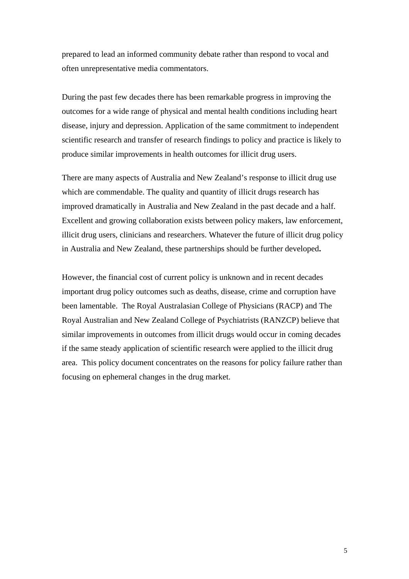prepared to lead an informed community debate rather than respond to vocal and often unrepresentative media commentators.

During the past few decades there has been remarkable progress in improving the outcomes for a wide range of physical and mental health conditions including heart disease, injury and depression. Application of the same commitment to independent scientific research and transfer of research findings to policy and practice is likely to produce similar improvements in health outcomes for illicit drug users.

There are many aspects of Australia and New Zealand's response to illicit drug use which are commendable. The quality and quantity of illicit drugs research has improved dramatically in Australia and New Zealand in the past decade and a half. Excellent and growing collaboration exists between policy makers, law enforcement, illicit drug users, clinicians and researchers. Whatever the future of illicit drug policy in Australia and New Zealand, these partnerships should be further developed**.** 

However, the financial cost of current policy is unknown and in recent decades important drug policy outcomes such as deaths, disease, crime and corruption have been lamentable. The Royal Australasian College of Physicians (RACP) and The Royal Australian and New Zealand College of Psychiatrists (RANZCP) believe that similar improvements in outcomes from illicit drugs would occur in coming decades if the same steady application of scientific research were applied to the illicit drug area. This policy document concentrates on the reasons for policy failure rather than focusing on ephemeral changes in the drug market.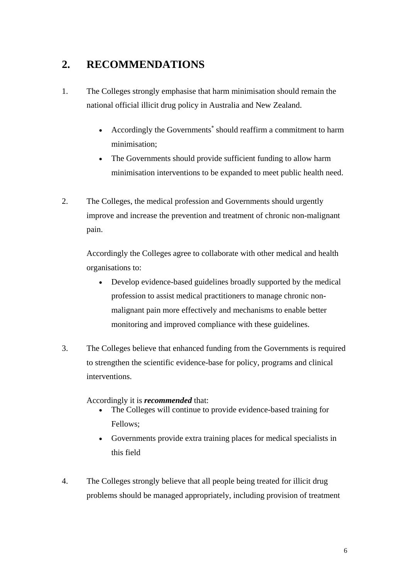### <span id="page-5-0"></span>**2. RECOMMENDATIONS**

- 1. The Colleges strongly emphasise that harm minimisation should remain the national official illicit drug policy in Australia and New Zealand.
	- Accordingly the Governments<sup>\*</sup> should reaffirm a commitment to harm minimisation;
	- The Governments should provide sufficient funding to allow harm minimisation interventions to be expanded to meet public health need.
- 2. The Colleges, the medical profession and Governments should urgently improve and increase the prevention and treatment of chronic non-malignant pain.

Accordingly the Colleges agree to collaborate with other medical and health organisations to:

- Develop evidence-based guidelines broadly supported by the medical profession to assist medical practitioners to manage chronic nonmalignant pain more effectively and mechanisms to enable better monitoring and improved compliance with these guidelines.
- 3. The Colleges believe that enhanced funding from the Governments is required to strengthen the scientific evidence-base for policy, programs and clinical interventions.

### Accordingly it is *recommended* that:

- The Colleges will continue to provide evidence-based training for Fellows;
- Governments provide extra training places for medical specialists in this field
- <span id="page-5-1"></span>4. The Colleges strongly believe that all people being treated for illicit drug problems should be managed appropriately, including provision of treatment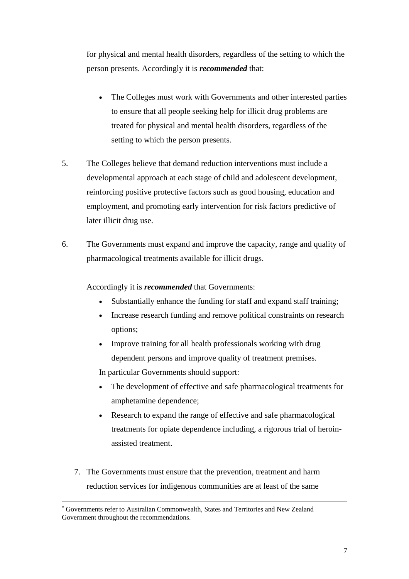for physical and mental health disorders, regardless of the setting to which the person presents. Accordingly it is *recommended* that:

- The Colleges must work with Governments and other interested parties to ensure that all people seeking help for illicit drug problems are treated for physical and mental health disorders, regardless of the setting to which the person presents.
- 5. The Colleges believe that demand reduction interventions must include a developmental approach at each stage of child and adolescent development, reinforcing positive protective factors such as good housing, education and employment, and promoting early intervention for risk factors predictive of later illicit drug use.
- 6. The Governments must expand and improve the capacity, range and quality of pharmacological treatments available for illicit drugs.

Accordingly it is *recommended* that Governments:

- Substantially enhance the funding for staff and expand staff training;
- Increase research funding and remove political constraints on research options;
- Improve training for all health professionals working with drug dependent persons and improve quality of treatment premises.

In particular Governments should support:

- The development of effective and safe pharmacological treatments for amphetamine dependence;
- Research to expand the range of effective and safe pharmacological treatments for opiate dependence including, a rigorous trial of heroinassisted treatment.
- 7. The Governments must ensure that the prevention, treatment and harm reduction services for indigenous communities are at least of the same

 $\overline{a}$ 

<sup>∗</sup> Governments refer to Australian Commonwealth, States and Territories and New Zealand Government throughout the recommendations.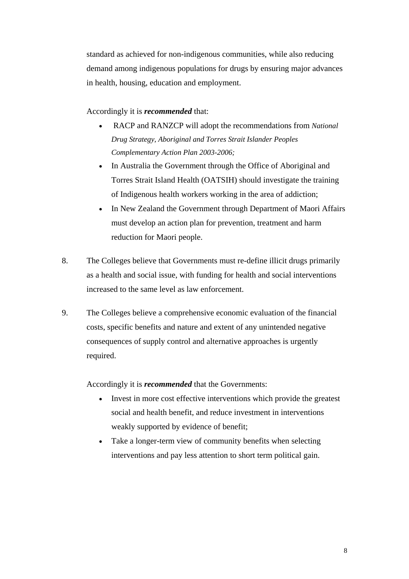standard as achieved for non-indigenous communities, while also reducing demand among indigenous populations for drugs by ensuring major advances in health, housing, education and employment.

### Accordingly it is *recommended* that:

- RACP and RANZCP will adopt the recommendations from *National Drug Strategy, Aboriginal and Torres Strait Islander Peoples Complementary Action Plan 2003-2006;*
- In Australia the Government through the Office of Aboriginal and Torres Strait Island Health (OATSIH) should investigate the training of Indigenous health workers working in the area of addiction;
- In New Zealand the Government through Department of Maori Affairs must develop an action plan for prevention, treatment and harm reduction for Maori people.
- 8. The Colleges believe that Governments must re-define illicit drugs primarily as a health and social issue, with funding for health and social interventions increased to the same level as law enforcement.
- 9. The Colleges believe a comprehensive economic evaluation of the financial costs, specific benefits and nature and extent of any unintended negative consequences of supply control and alternative approaches is urgently required.

Accordingly it is *recommended* that the Governments:

- Invest in more cost effective interventions which provide the greatest social and health benefit, and reduce investment in interventions weakly supported by evidence of benefit;
- Take a longer-term view of community benefits when selecting interventions and pay less attention to short term political gain.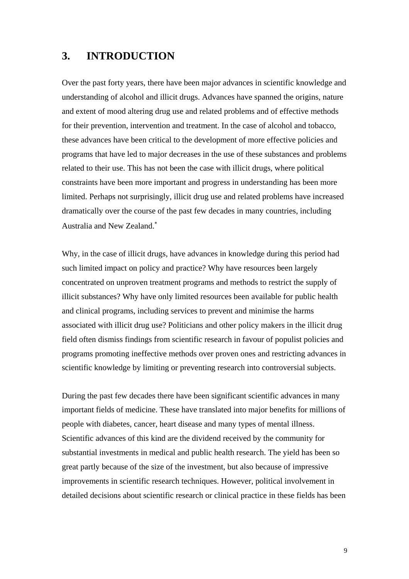### <span id="page-8-0"></span>**3. INTRODUCTION**

Over the past forty years, there have been major advances in scientific knowledge and understanding of alcohol and illicit drugs. Advances have spanned the origins, nature and extent of mood altering drug use and related problems and of effective methods for their prevention, intervention and treatment. In the case of alcohol and tobacco, these advances have been critical to the development of more effective policies and programs that have led to major decreases in the use of these substances and problems related to their use. This has not been the case with illicit drugs, where political constraints have been more important and progress in understanding has been more limited. Perhaps not surprisingly, illicit drug use and related problems have increased dramatically over the course of the past few decades in many countries, including Australia and New Zealand[.](#page-8-1)<sup>∗</sup>

Why, in the case of illicit drugs, have advances in knowledge during this period had such limited impact on policy and practice? Why have resources been largely concentrated on unproven treatment programs and methods to restrict the supply of illicit substances? Why have only limited resources been available for public health and clinical programs, including services to prevent and minimise the harms associated with illicit drug use? Politicians and other policy makers in the illicit drug field often dismiss findings from scientific research in favour of populist policies and programs promoting ineffective methods over proven ones and restricting advances in scientific knowledge by limiting or preventing research into controversial subjects.

<span id="page-8-1"></span>During the past few decades there have been significant scientific advances in many important fields of medicine. These have translated into major benefits for millions of people with diabetes, cancer, heart disease and many types of mental illness. Scientific advances of this kind are the dividend received by the community for substantial investments in medical and public health research. The yield has been so great partly because of the size of the investment, but also because of impressive improvements in scientific research techniques. However, political involvement in detailed decisions about scientific research or clinical practice in these fields has been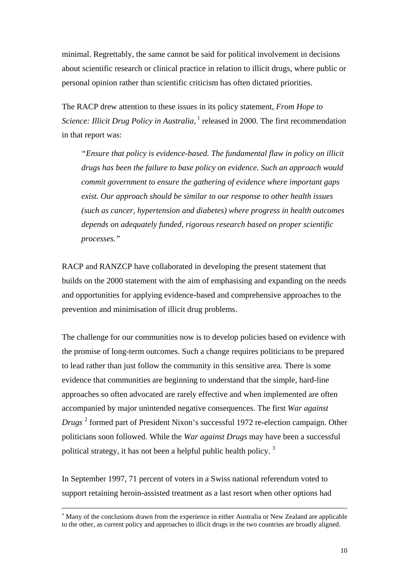minimal. Regrettably, the same cannot be said for political involvement in decisions about scientific research or clinical practice in relation to illicit drugs, where public or personal opinion rather than scientific criticism has often dictated priorities.

The RACP drew attention to these issues in its policy statement, *From Hope to Science: Illicit Drug Policy in Australia*,<sup>1</sup> released in 2000. The first recommendation in that report was:

*"Ensure that policy is evidence-based. The fundamental flaw in policy on illicit drugs has been the failure to base policy on evidence. Such an approach would commit government to ensure the gathering of evidence where important gaps exist. Our approach should be similar to our response to other health issues (such as cancer, hypertension and diabetes) where progress in health outcomes depends on adequately funded, rigorous research based on proper scientific processes."* 

RACP and RANZCP have collaborated in developing the present statement that builds on the 2000 statement with the aim of emphasising and expanding on the needs and opportunities for applying evidence-based and comprehensive approaches to the prevention and minimisation of illicit drug problems.

The challenge for our communities now is to develop policies based on evidence with the promise of long-term outcomes. Such a change requires politicians to be prepared to lead rather than just follow the community in this sensitive area. There is some evidence that communities are beginning to understand that the simple, hard-line approaches so often advocated are rarely effective and when implemented are often accompanied by major unintended negative consequences. The first *War against*  Drugs<sup>2</sup> formed part of President Nixon's successful 1972 re-election campaign. Other politic[ian](#page-58-1)s soon followed. While the *War against Drugs* may have been a successful political strategy, it has not been a helpful public health policy.<sup>3</sup>

In September 1997, 71 percent of voters in a Swiss national referendum voted to support retaining heroin-assisted treatment as a last resort when other options had

 $\overline{a}$ 

<sup>∗</sup> Many of the conclus[ion](#page-58-2)s drawn from the experience in either Australia or New Zealand are applicable to the other, as current policy and approaches to illicit drugs in the two countries are broadly aligned.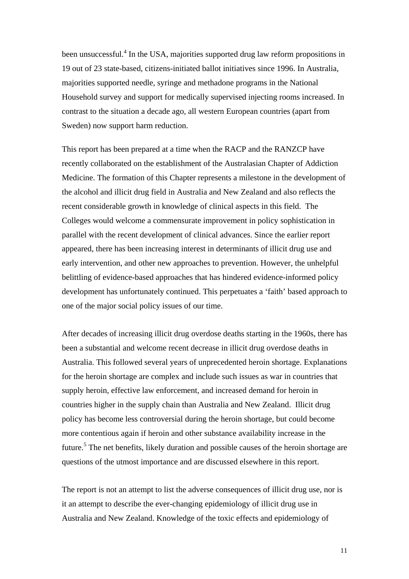been unsuccessful.<sup>4</sup> In the USA, majorities supported drug law reform propositions in 19 out of 23 state-based, citizens-initiated ballot initiatives since 1996. In Australia, majorities supported needle, syringe and methadone programs in the National Household survey and support for medically supervised injecting rooms increased. In contrast to the situation a decade ago, all western European countries (apart from Sweden) now support harm reduction.

This report has been prepared at a time when the RACP and the RANZCP have recently collaborated on the establishment of the Australasian Chapter of Addiction Medicine. The formation of this Chapter represents a milestone in the development of the alcohol and illicit drug field in Australia and New Zealand and also reflects the recent considerable growth in knowledge of clinical aspects in this field. The Colleges would welcome a commensurate improvement in policy sophistication in parallel with the recent development of clinical advances. Since the earlier report appeared, there has been increasing interest in determinants of illicit drug use and early intervention, and other new approaches to prevention. However, the unhelpful belittling of evidence-based approaches that has hindered evidence-informed policy development has unfortunately continued. This perpetuates a 'faith' based approach to one of the major social policy issues of our time.

After decades of increasing illicit drug overdose deaths starting in the 1960s, there has been a substantial and welcome recent decrease in illicit drug overdose deaths in Australia. This followed several years of unprecedented heroin shortage. Explanations for the heroin shortage are complex and include such issues as war in countries that supply heroin, effective law enforcement, and increased demand for heroin in countries higher in the supply chain than Australia and New Zealand. Illicit drug policy has become less controversial during the heroin shortage, but could become more [co](#page-58-3)ntentious again if heroin and other substance availability increase in the future.<sup>5</sup> The net benefits, likely duration and possible causes of the heroin shortage are questions of the utmost importance and are discussed elsewhere in this report.

The report is not an attempt to list the adverse consequences of illicit drug use, nor is it an attempt to describe the ever-changing epidemiology of illicit drug use in Australia and New Zealand. Knowledge of the toxic effects and epidemiology of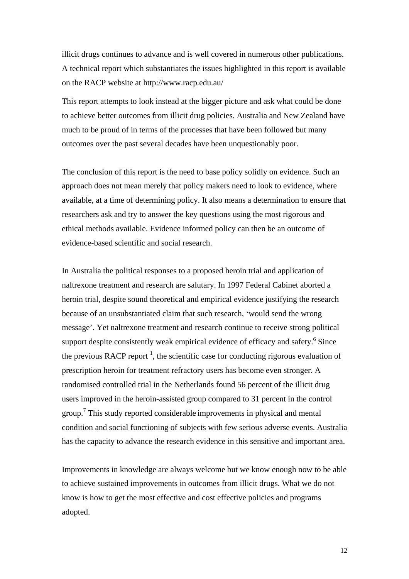illicit drugs continues to advance and is well covered in numerous other publications. A technical report which substantiates the issues highlighted in this report is available on the RACP website at http://www.racp.edu.au/

This report attempts to look instead at the bigger picture and ask what could be done to achieve better outcomes from illicit drug policies. Australia and New Zealand have much to be proud of in terms of the processes that have been followed but many outcomes over the past several decades have been unquestionably poor.

The conclusion of this report is the need to base policy solidly on evidence. Such an approach does not mean merely that policy makers need to look to evidence, where available, at a time of determining policy. It also means a determination to ensure that researchers ask and try to answer the key questions using the most rigorous and ethical methods available. Evidence informed policy can then be an outcome of evidence-based scientific and social research.

In Australia the political responses to a proposed heroin trial and application of naltrexone treatment and research are salutary. In 1997 Federal Cabinet aborted a heroin trial, despite sound theoretical and empirical evidence justifying the research because of an unsubstantiated claim that such research, 'would send the wrong message'. Yet naltrexone treatment and research continue to receive strong [po](#page-58-4)litical support despite consistently weak empirical evidence of efficacy and safety.<sup>6</sup> Since the previous RACP report<sup>1</sup>, the scientific case for conducting rigorous evaluation of prescription heroin for treatment refractory users has become even stronger. A randomised controlled trial in the Netherlands found 56 percent of the illicit drug users [im](#page-58-5)proved in the heroin-assisted group compared to 31 percent in the control group.<sup>7</sup> This study reported considerable improvements in physical and mental condition and social functioning of subjects with few serious adverse events. Australia has the capacity to advance the research evidence in this sensitive and important area.

Improvements in knowledge are always welcome but we know enough now to be able to achieve sustained improvements in outcomes from illicit drugs. What we do not know is how to get the most effective and cost effective policies and programs adopted.

12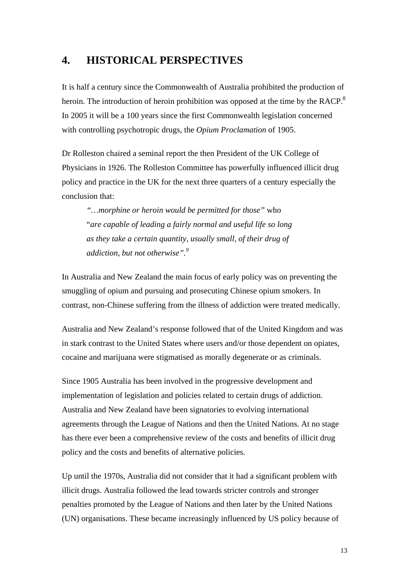### <span id="page-12-0"></span>**4. HISTORICAL PERSPECTIVES**

It is half a century since the Commonwealth of Australia prohibited the production of heroin. The introduction of heroin prohibition was opposed at the time by the RACP. $8$ In 2005 it will be a 100 years since the first Commonwealth legislation concerned with controlling psychotropic drugs, the *Opium Proclamation* of 1905.

Dr Rolleston chaired a seminal report the then President of the UK College of Physicians in 1926. The Rolleston Committee has powerfully influenced illicit drug policy and practice in the UK for the next three quarters of a century especially the conclusion that:

*"…morphine or heroin would be permitted for those"* who "*are capable of leading a fairly normal and useful life so long as they take a certain quantity, usually small, of their drug of addiction, but not otherwise".[9](#page-58-7)*

In Australia and New Zealand the main focus of early policy was on preventing the smuggling of opium and pursuing and prosecuting Chinese opium smokers. In contrast, non-Chinese suffering from the illness of addiction were treated medically.

Australia and New Zealand's response followed that of the United Kingdom and was in stark contrast to the United States where users and/or those dependent on opiates, cocaine and marijuana were stigmatised as morally degenerate or as criminals.

Since 1905 Australia has been involved in the progressive development and implementation of legislation and policies related to certain drugs of addiction. Australia and New Zealand have been signatories to evolving international agreements through the League of Nations and then the United Nations. At no stage has there ever been a comprehensive review of the costs and benefits of illicit drug policy and the costs and benefits of alternative policies.

Up until the 1970s, Australia did not consider that it had a significant problem with illicit drugs. Australia followed the lead towards stricter controls and stronger penalties promoted by the League of Nations and then later by the United Nations (UN) organisations. These became increasingly influenced by US policy because of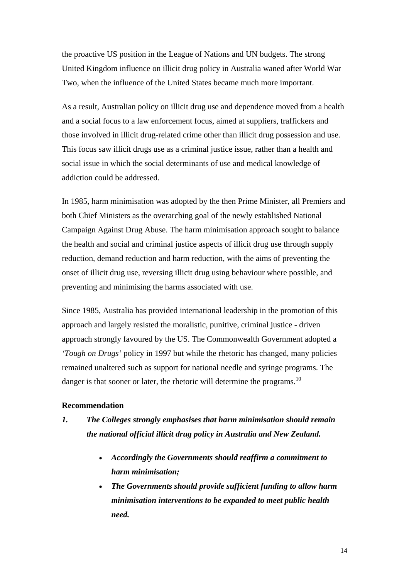the proactive US position in the League of Nations and UN budgets. The strong United Kingdom influence on illicit drug policy in Australia waned after World War Two, when the influence of the United States became much more important.

As a result, Australian policy on illicit drug use and dependence moved from a health and a social focus to a law enforcement focus, aimed at suppliers, traffickers and those involved in illicit drug-related crime other than illicit drug possession and use. This focus saw illicit drugs use as a criminal justice issue, rather than a health and social issue in which the social determinants of use and medical knowledge of addiction could be addressed.

In 1985, harm minimisation was adopted by the then Prime Minister, all Premiers and both Chief Ministers as the overarching goal of the newly established National Campaign Against Drug Abuse. The harm minimisation approach sought to balance the health and social and criminal justice aspects of illicit drug use through supply reduction, demand reduction and harm reduction, with the aims of preventing the onset of illicit drug use, reversing illicit drug using behaviour where possible, and preventing and minimising the harms associated with use.

Since 1985, Australia has provided international leadership in the promotion of this approach and largely resisted the moralistic, punitive, criminal justice - driven approach strongly favoured by the US. The Commonwealth Government adopted a *'Tough on Drugs'* policy in 1997 but while the rhetoric has changed, many policies remained unaltered such as support for national needle and syringe programs. The danger is that sooner or later, the rhetoric will determine the programs.<sup>10</sup>

### **Recommendation**

### *1. The Colleges strongly emphasises that harm minimisation should remain the national official illicit drug policy in Australia and New Zealand.*

- *Accordingly the Governments should reaffirm a commitment to harm minimisation;*
- *The Governments should provide sufficient funding to allow harm minimisation interventions to be expanded to meet public health need.*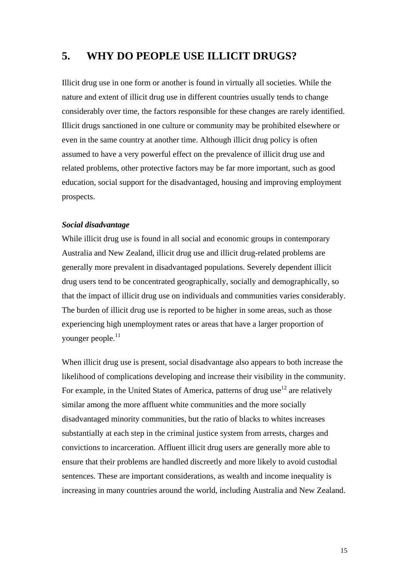### <span id="page-14-0"></span>**5. WHY DO PEOPLE USE ILLICIT DRUGS?**

Illicit drug use in one form or another is found in virtually all societies. While the nature and extent of illicit drug use in different countries usually tends to change considerably over time, the factors responsible for these changes are rarely identified. Illicit drugs sanctioned in one culture or community may be prohibited elsewhere or even in the same country at another time. Although illicit drug policy is often assumed to have a very powerful effect on the prevalence of illicit drug use and related problems, other protective factors may be far more important, such as good education, social support for the disadvantaged, housing and improving employment prospects.

### *Social disadvantage*

While illicit drug use is found in all social and economic groups in contemporary Australia and New Zealand, illicit drug use and illicit drug-related problems are generally more prevalent in disadvantaged populations. Severely dependent illicit drug users tend to be concentrated geographically, socially and demographically, so that the impact of illicit drug use on individuals and communities varies considerably. The burden of illicit drug use is reported to be higher in some areas, such as those experiencing high unemployment rates or areas that have a larger proportion of younger people.<sup>11</sup>

When illicit drug use is present, social disadvantage also appears to both increase the likelihood of complications developing and increase their visibility in the community. For example, in the United States of America, patterns of drug use<sup>12</sup> are relatively similar among the more affluent white communities and the more socially disadvantaged minority communities, but the ratio of blacks to whites increases substantially at each step in the criminal justice system from arrests, charges and convictions to incarceration. Affluent illicit drug users are generally more able to ensure that their problems are handled discreetly and more likely to avoid custodial sentences. These are important considerations, as wealth and income inequality is increasing in many countries around the world, including Australia and New Zealand.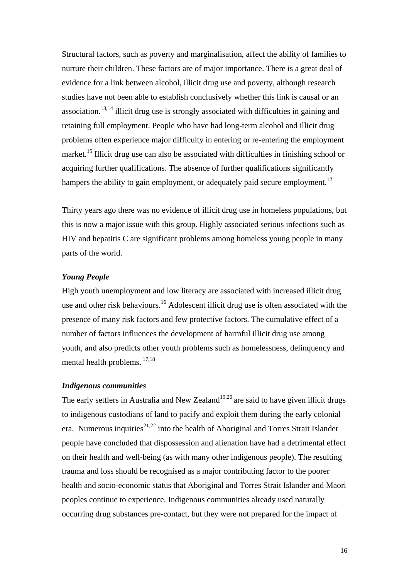Structural factors, such as poverty and marginalisation, affect the ability of families to nurture their children. These factors are of major importance. There is a great deal of evidence for a link between alcohol, illicit drug use and poverty, although research studies have not been able to establish conclusively whether this link is causal or an association.<sup>13,14</sup> illicit drug use is strongly associated with difficulties in gaining and retaining full employment. People who have had long-term alcohol and illicit drug problems often experience major difficulty in entering or re-entering the employment market.<sup>15</sup> Illicit drug use can also be associated with difficulties in finishing school or acquiring further qualifications. The absence of further qualifications significantly hampers the ability to gain employment, or adequately paid secure employment.<sup>12</sup>

Thirty years ago there was no evidence of illicit drug use in homeless populations, but this is now a major issue with this group. Highly associated serious infections such as HIV and hepatitis C are significant problems among homeless young people in many parts of the world.

### *Young People*

High youth unemployment and low literacy are associated with increased illicit drug use and other risk behaviours.<sup>16</sup> Adolescent illicit drug use is often associated with the presence of many risk factors and few protective factors. The cumulative effect of a number of factors influences the development of harmful illicit drug use among youth, and also predicts other youth problems such as homelessness, delinquency and mental health problems. [17,](#page-58-15)[18](#page-58-16)

#### *Indigenous communities*

The early settlers in Australia and New Zealand<sup>[19,](#page-58-17)[20](#page-58-18)</sup> are said to have given illicit drugs to indigenous custodians of land to pacify and exploit them during the early colonial era. Numerous inquiries<sup>[21,](#page-58-19)22</sup> into the health of Aboriginal and Torres Strait Islander people have concluded that dispossession and alienation have had a detrimental effect on their health and well-being (as with many other indigenous people). The resulting trauma and loss should be recognised as a major contributing factor to the poorer health and socio-economic status that Aboriginal and Torres Strait Islander and Maori peoples continue to experience. Indigenous communities already used naturally occurring drug substances pre-contact, but they were not prepared for the impact of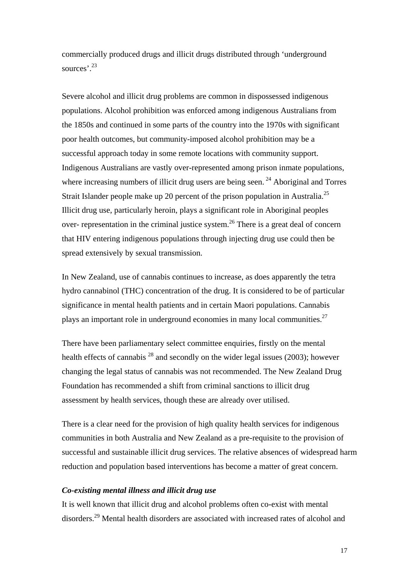commercially produced drugs and illicit drugs distributed through 'underground sources<sup>'</sup>.<sup>23</sup>

Severe alcohol and illicit drug problems are common in dispossessed indigenous populations. Alcohol prohibition was enforced among indigenous Australians from the 1850s and continued in some parts of the country into the 1970s with significant poor health outcomes, but community-imposed alcohol prohibition may be a successful approach today in some remote locations with community support. Indigenous Australians are vastly over-represented among prison inmate populations, where increasing numbers of illicit drug users are being seen.<sup>24</sup> Aboriginal and Torres Strait Islander people make up 20 percent of the prison population in Australia.<sup>[25](#page-58-23)</sup> Illicit drug use, particularly heroin, plays a significant role in Aboriginal peoples over- representation in the criminal justice system.<sup>26</sup> There is a great deal of concern that HIV entering indigenous populations through injecting drug use could then be spread extensively by sexual transmission.

In New Zealand, use of cannabis continues to increase, as does apparently the tetra hydro cannabinol (THC) concentration of the drug. It is considered to be of particular significance in mental health patients and in certain Maori populations. Cannabis plays an important role in underground economies in many local communities.<sup>27</sup>

There have been parliamentary select committee enquiries, firstly on the mental health effects of cannabis  $^{28}$  and secondly on the wider legal issues (2003); however changing the legal status of cannabis was not recommended. The New Zealand Drug Foundation has recommended a shift from criminal sanctions to illicit drug assessment by health services, though these are already over utilised.

There is a clear need for the provision of high quality health services for indigenous communities in both Australia and New Zealand as a pre-requisite to the provision of successful and sustainable illicit drug services. The relative absences of widespread harm reduction and population based interventions has become a matter of great concern.

#### *Co-existing mental illness and illicit drug use*

It is well known that illicit drug and alcohol problems often co-exist with mental disorders[.29](#page-58-27) Mental health disorders are associated with increased rates of alcohol and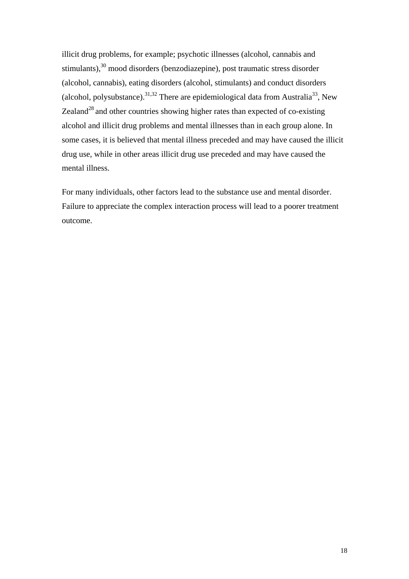illicit drug problems, for example; psychotic illnesses (alcohol, cannabis and stimulants)[,30](#page-58-28) mood disorders (benzodiazepine), post traumatic stress disorder (alcohol, cannabis), eating disorders (alcohol, stimulants) and conduct disorders (alcohol, polysubstance).<sup>31,32</sup> There are epidemiological data from Australia<sup>33</sup>, New Zealand<sup>28</sup> and other countries showing higher rates than expected of co-existing alcohol and illicit drug problems and mental illnesses than in each group alone. In some cases, it is believed that mental illness preceded and may have caused the illicit drug use, while in other areas illicit drug use preceded and may have caused the mental illness.

For many individuals, other factors lead to the substance use and mental disorder. Failure to appreciate the complex interaction process will lead to a poorer treatment outcome.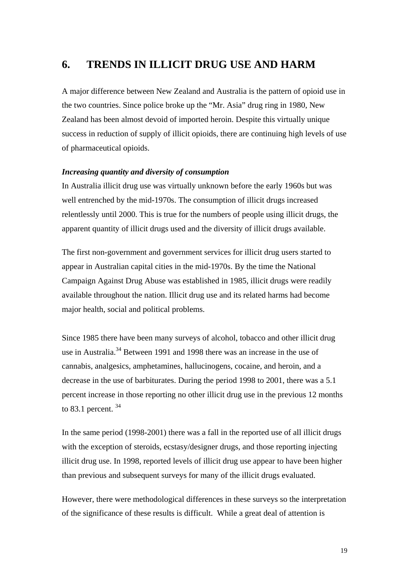### <span id="page-18-0"></span>**6. TRENDS IN ILLICIT DRUG USE AND HARM**

A major difference between New Zealand and Australia is the pattern of opioid use in the two countries. Since police broke up the "Mr. Asia" drug ring in 1980, New Zealand has been almost devoid of imported heroin. Despite this virtually unique success in reduction of supply of illicit opioids, there are continuing high levels of use of pharmaceutical opioids.

### *Increasing quantity and diversity of consumption*

In Australia illicit drug use was virtually unknown before the early 1960s but was well entrenched by the mid-1970s. The consumption of illicit drugs increased relentlessly until 2000. This is true for the numbers of people using illicit drugs, the apparent quantity of illicit drugs used and the diversity of illicit drugs available.

The first non-government and government services for illicit drug users started to appear in Australian capital cities in the mid-1970s. By the time the National Campaign Against Drug Abuse was established in 1985, illicit drugs were readily available throughout the nation. Illicit drug use and its related harms had become major health, social and political problems.

Since 1985 there have been many surveys of alcohol, tobacco and other illicit drug use in Australia.<sup>34</sup> Between 1991 and 1998 there was an increase in the use of cannabis, analgesics, amphetamines, hallucinogens, cocaine, and heroin, and a decrease in the use of barbiturates. During the period 1998 to 2001, there was a 5.1 percent increase in those reporting no other illicit drug use in the previous 12 months to 83.1 percent.  $34$ 

In the same period (1998-2001) there was a fall in the reported use of all illicit drugs with the exception of steroids, ecstasy/designer drugs, and those reporting injecting illicit drug use. In 1998, reported levels of illicit drug use appear to have been higher than previous and subsequent surveys for many of the illicit drugs evaluated.

However, there were methodological differences in these surveys so the interpretation of the significance of these results is difficult. While a great deal of attention is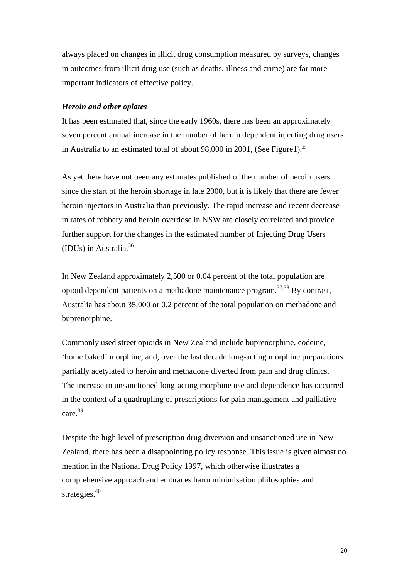always placed on changes in illicit drug consumption measured by surveys, changes in outcomes from illicit drug use (such as deaths, illness and crime) are far more important indicators of effective policy.

### *Heroin and other opiates*

It has been estimated that, since the early 1960s, there has been an approximately seven percent annual increase in the number of heroin dependent injecting drug users in Australia to an estimated total of about 98,000 in 2001, (See Figure1).<sup>35</sup>

As yet there have not been any estimates published of the number of heroin users since the start of the heroin shortage in late 2000, but it is likely that there are fewer heroin injectors in Australia than previously. The rapid increase and recent decrease in rates of robbery and heroin overdose in NSW are closely correlated and provide further support for the changes in the estimated number of Injecting Drug Users (IDUs) in Australia[.36](#page-58-34) 

In New Zealand approximately 2,500 or 0.04 percent of the total population are opioid dependent patients on a methadone maintenance program.<sup>[37,](#page-58-35)38</sup> By contrast, Australia has about 35,000 or 0.2 percent of the total population on methadone and buprenorphine.

Commonly used street opioids in New Zealand include buprenorphine, codeine, 'home baked' morphine, and, over the last decade long-acting morphine preparations partially acetylated to heroin and methadone diverted from pain and drug clinics. The increase in unsanctioned long-acting morphine use and dependence has occurred in the context of a quadrupling of prescriptions for pain management and palliative care[.39](#page-58-37)

Despite the high level of prescription drug diversion and unsanctioned use in New Zealand, there has been a disappointing policy response. This issue is given almost no mention in the National Drug Policy 1997, which otherwise illustrates a comprehensive approach and embraces harm minimisation philosophies and strategies.<sup>40</sup>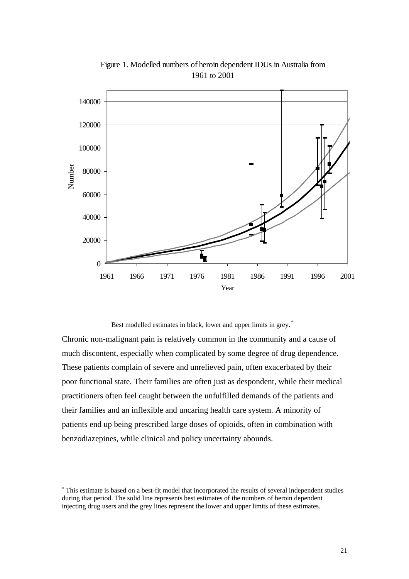

Figure 1. Modelled numbers of heroin dependent IDUs in Australia from 1961 to 2001

Best modelled estimates in black, lower and upper limits in grey.<sup>\*</sup>

Chronic non-malignant pain is relatively common in the community and a cause of much discontent, especially when complicated by some degree of drug dependence. These patients complain of severe and unrelieved pain, often exacerbated by their poor functional state. Their families are often just as despondent, while their medical practitioners often feel caught between the unfulfilled demands of the patients and their families and an inflexible and uncaring health care system. A minority of patients end up being prescribed large doses of opioids, often in combination with benzodiazepines, while clinical and policy uncertainty abounds.

 $\overline{a}$ 

<span id="page-20-0"></span><sup>∗</sup> This estimate is based on a best-fit model that incorporated the results of several independent studies during that period. The solid line represents best estimates of the numbers of heroin dependent injecting drug users and the grey lines represent the lower and upper limits of these estimates.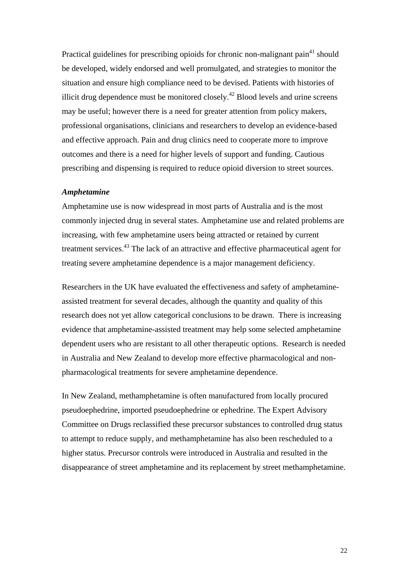Practical guidelines for prescribing opioids for chronic non-malignant pain<sup>41</sup> should be developed, widely endorsed and well promulgated, and strategies to monitor the situation and ensure high compliance need to be devised. Patients with histories of illicit drug dependence must be monitored closely.<sup>42</sup> Blood levels and urine screens may be useful; however there is a need for greater attention from policy makers, professional organisations, clinicians and researchers to develop an evidence-based and effective approach. Pain and drug clinics need to cooperate more to improve outcomes and there is a need for higher levels of support and funding. Cautious prescribing and dispensing is required to reduce opioid diversion to street sources.

### *Amphetamine*

Amphetamine use is now widespread in most parts of Australia and is the most commonly injected drug in several states. Amphetamine use and related problems are increasing, with few amphetamine users being attracted or retained by current treatment services.<sup>43</sup> The lack of an attractive and effective pharmaceutical agent for treating severe amphetamine dependence is a major management deficiency.

Researchers in the UK have evaluated the effectiveness and safety of amphetamineassisted treatment for several decades, although the quantity and quality of this research does not yet allow categorical conclusions to be drawn. There is increasing evidence that amphetamine-assisted treatment may help some selected amphetamine dependent users who are resistant to all other therapeutic options. Research is needed in Australia and New Zealand to develop more effective pharmacological and nonpharmacological treatments for severe amphetamine dependence.

In New Zealand, methamphetamine is often manufactured from locally procured pseudoephedrine, imported pseudoephedrine or ephedrine. The Expert Advisory Committee on Drugs reclassified these precursor substances to controlled drug status to attempt to reduce supply, and methamphetamine has also been rescheduled to a higher status. Precursor controls were introduced in Australia and resulted in the disappearance of street amphetamine and its replacement by street methamphetamine.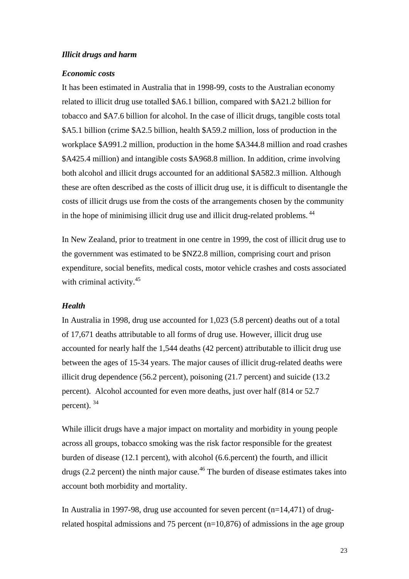### *Illicit drugs and harm*

#### *Economic costs*

It has been estimated in Australia that in 1998-99, costs to the Australian economy related to illicit drug use totalled \$A6.1 billion, compared with \$A21.2 billion for tobacco and \$A7.6 billion for alcohol. In the case of illicit drugs, tangible costs total \$A5.1 billion (crime \$A2.5 billion, health \$A59.2 million, loss of production in the workplace \$A991.2 million, production in the home \$A344.8 million and road crashes \$A425.4 million) and intangible costs \$A968.8 million. In addition, crime involving both alcohol and illicit drugs accounted for an additional \$A582.3 million. Although these are often described as the costs of illicit drug use, it is difficult to disentangle the costs of illicit drugs use from the costs of the arrangements chosen by the community in the hope of minimising illicit drug use and illicit drug-related problems.<sup>44</sup>

In New Zealand, prior to treatment in one centre in 1999, the cost of illicit drug use to the government was estimated to be \$NZ2.8 million, comprising court and prison expenditure, social benefits, medical costs, motor vehicle crashes and costs associated with criminal activity.<sup>[45](#page-58-39)</sup>

### *Health*

In Australia in 1998, drug use accounted for 1,023 (5.8 percent) deaths out of a total of 17,671 deaths attributable to all forms of drug use. However, illicit drug use accounted for nearly half the 1,544 deaths (42 percent) attributable to illicit drug use between the ages of 15-34 years. The major causes of illicit drug-related deaths were illicit drug dependence (56.2 percent), poisoning (21.7 percent) and suicide (13.2 percent). Alcohol accounted for even more deaths, just over half (814 or 52.7 percent). 34

While illicit drugs have a major impact on mortality and morbidity in young people across all groups, tobacco smoking was the risk factor responsible for the greatest burden of disease (12.1 percent), with alcohol (6.6.percent) the fourth, and illicit drugs (2.2 percent) the ninth major cause.<sup>46</sup> The burden of disease estimates takes into account both morbidity and mortality.

In Australia in 1997-98, drug use accounted for seven percent (n=14,471) of drugrelated hospital admissions and 75 percent  $(n=10,876)$  of admissions in the age group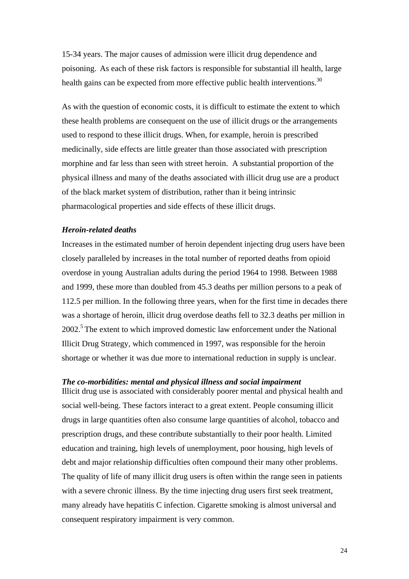15-34 years. The major causes of admission were illicit drug dependence and poisoning. As each of these risk factors is responsible for substantial ill health, large health gains can be expected from more effective public health interventions.<sup>30</sup>

As with the question of economic costs, it is difficult to estimate the extent to which these health problems are consequent on the use of illicit drugs or the arrangements used to respond to these illicit drugs. When, for example, heroin is prescribed medicinally, side effects are little greater than those associated with prescription morphine and far less than seen with street heroin. A substantial proportion of the physical illness and many of the deaths associated with illicit drug use are a product of the black market system of distribution, rather than it being intrinsic pharmacological properties and side effects of these illicit drugs.

#### *Heroin-related deaths*

Increases in the estimated number of heroin dependent injecting drug users have been closely paralleled by increases in the total number of reported deaths from opioid overdose in young Australian adults during the period 1964 to 1998. Between 1988 and 1999, these more than doubled from 45.3 deaths per million persons to a peak of 112.5 per million. In the following three years, when for the first time in decades there was a shortage of heroin, illicit drug overdose deaths fell to 32.3 deaths per million in 2002.<sup>5</sup> The extent to which improved domestic law enforcement under the National Illicit Drug Strategy, which commenced in 1997, was responsible for the heroin shortage or whether it was due more to international reduction in supply is unclear.

### *The co-morbidities: mental and physical illness and social impairment*

Illicit drug use is associated with considerably poorer mental and physical health and social well-being. These factors interact to a great extent. People consuming illicit drugs in large quantities often also consume large quantities of alcohol, tobacco and prescription drugs, and these contribute substantially to their poor health. Limited education and training, high levels of unemployment, poor housing, high levels of debt and major relationship difficulties often compound their many other problems. The quality of life of many illicit drug users is often within the range seen in patients with a severe chronic illness. By the time injecting drug users first seek treatment, many already have hepatitis C infection. Cigarette smoking is almost universal and consequent respiratory impairment is very common.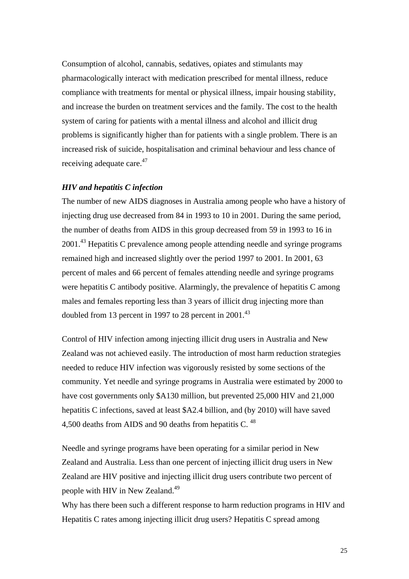Consumption of alcohol, cannabis, sedatives, opiates and stimulants may pharmacologically interact with medication prescribed for mental illness, reduce compliance with treatments for mental or physical illness, impair housing stability, and increase the burden on treatment services and the family. The cost to the health system of caring for patients with a mental illness and alcohol and illicit drug problems is significantly higher than for patients with a single problem. There is an increased risk of suicide, hospitalisation and criminal behaviour and less chance of receiving adequate care.<sup>47</sup>

#### *HIV and hepatitis C infection*

The number of new AIDS diagnoses in Australia among people who have a history of injecting drug use decreased from 84 in 1993 to 10 in 2001. During the same period, the number of deaths from AIDS in this group decreased from 59 in 1993 to 16 in 2001<sup>43</sup> Hepatitis C prevalence among people attending needle and syringe programs remained high and increased slightly over the period 1997 to 2001. In 2001, 63 percent of males and 66 percent of females attending needle and syringe programs were hepatitis C antibody positive. Alarmingly, the prevalence of hepatitis C among males and females reporting less than 3 years of illicit drug injecting more than doubled from 13 percent in 1997 to 28 percent in  $2001<sup>43</sup>$ 

Control of HIV infection among injecting illicit drug users in Australia and New Zealand was not achieved easily. The introduction of most harm reduction strategies needed to reduce HIV infection was vigorously resisted by some sections of the community. Yet needle and syringe programs in Australia were estimated by 2000 to have cost governments only \$A130 million, but prevented 25,000 HIV and 21,000 hepatitis C infections, saved at least \$A2.4 billion, and (by 2010) will have saved 4,500 deaths from AIDS and 90 deaths from hepatitis C.  $^{48}$  $^{48}$  $^{48}$ 

Needle and syringe programs have been operating for a similar period in New Zealand and Australia. Less than one percent of injecting illicit drug users in New Zealand are HIV positive and injecting illicit drug users contribute two percent of people with HIV in New Zealand.<sup>49</sup>

Why has there been such a different response to harm reduction programs in HIV and Hepatitis C rates among injecting illicit drug users? Hepatitis C spread among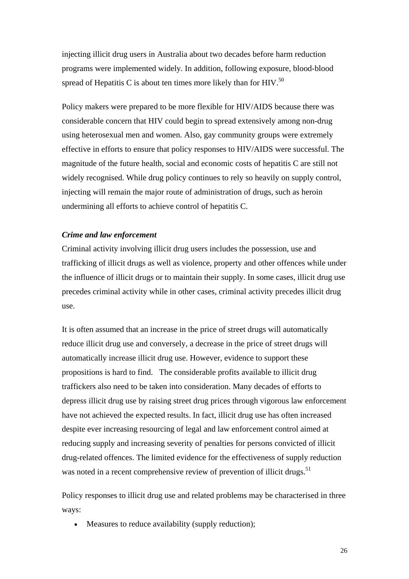injecting illicit drug users in Australia about two decades before harm reduction programs were implemented widely. In addition, following exposure, blood-blood spread of Hepatitis C is about ten times more likely than for HIV.<sup>[50](#page-58-43)</sup>

Policy makers were prepared to be more flexible for HIV/AIDS because there was considerable concern that HIV could begin to spread extensively among non-drug using heterosexual men and women. Also, gay community groups were extremely effective in efforts to ensure that policy responses to HIV/AIDS were successful. The magnitude of the future health, social and economic costs of hepatitis C are still not widely recognised. While drug policy continues to rely so heavily on supply control, injecting will remain the major route of administration of drugs, such as heroin undermining all efforts to achieve control of hepatitis C.

#### *Crime and law enforcement*

Criminal activity involving illicit drug users includes the possession, use and trafficking of illicit drugs as well as violence, property and other offences while under the influence of illicit drugs or to maintain their supply. In some cases, illicit drug use precedes criminal activity while in other cases, criminal activity precedes illicit drug use.

It is often assumed that an increase in the price of street drugs will automatically reduce illicit drug use and conversely, a decrease in the price of street drugs will automatically increase illicit drug use. However, evidence to support these propositions is hard to find. The considerable profits available to illicit drug traffickers also need to be taken into consideration. Many decades of efforts to depress illicit drug use by raising street drug prices through vigorous law enforcement have not achieved the expected results. In fact, illicit drug use has often increased despite ever increasing resourcing of legal and law enforcement control aimed at reducing supply and increasing severity of penalties for persons convicted of illicit drug-related offences. The limited evidence for the effectiveness of supply reduction was noted in a recent comprehensive review of prevention of illicit drugs.<sup>51</sup>

Policy responses to illicit drug use and related problems may be characterised in three ways:

• Measures to reduce availability (supply reduction);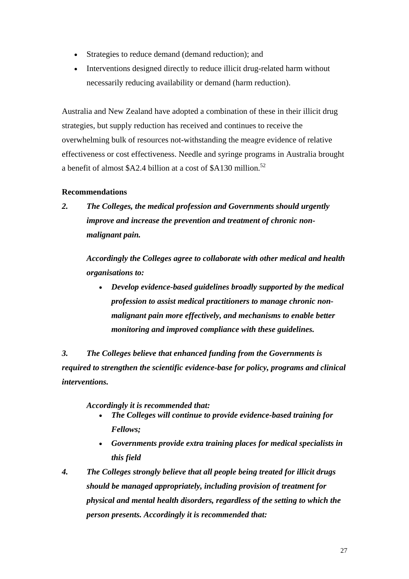- Strategies to reduce demand (demand reduction); and
- Interventions designed directly to reduce illicit drug-related harm without necessarily reducing availability or demand (harm reduction).

Australia and New Zealand have adopted a combination of these in their illicit drug strategies, but supply reduction has received and continues to receive the overwhelming bulk of resources not-withstanding the meagre evidence of relative effectiveness or cost effectiveness. Needle and syringe programs in Australia brought a benefit of almost \$A2.4 billion at a cost of \$A130 million.<sup>[52](#page-58-45)</sup>

### **Recommendations**

*2. The Colleges, the medical profession and Governments should urgently improve and increase the prevention and treatment of chronic nonmalignant pain.* 

*Accordingly the Colleges agree to collaborate with other medical and health organisations to:* 

• *Develop evidence-based guidelines broadly supported by the medical profession to assist medical practitioners to manage chronic nonmalignant pain more effectively, and mechanisms to enable better monitoring and improved compliance with these guidelines.* 

*3. The Colleges believe that enhanced funding from the Governments is required to strengthen the scientific evidence-base for policy, programs and clinical interventions.* 

*Accordingly it is recommended that:* 

- *The Colleges will continue to provide evidence-based training for Fellows;*
- *Governments provide extra training places for medical specialists in this field*
- *4. The Colleges strongly believe that all people being treated for illicit drugs should be managed appropriately, including provision of treatment for physical and mental health disorders, regardless of the setting to which the person presents. Accordingly it is recommended that:*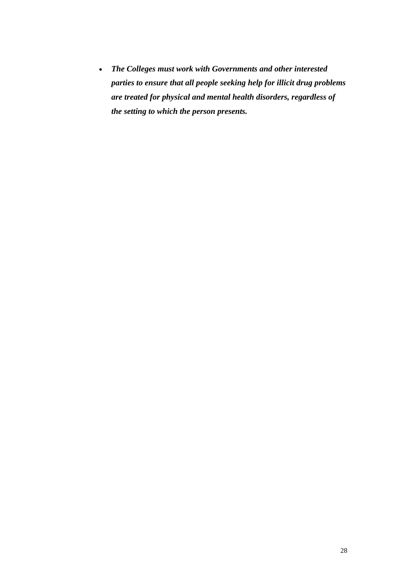• *The Colleges must work with Governments and other interested parties to ensure that all people seeking help for illicit drug problems are treated for physical and mental health disorders, regardless of the setting to which the person presents.*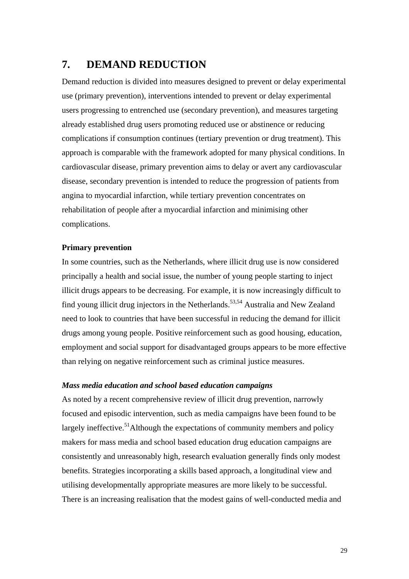### <span id="page-28-0"></span>**7. DEMAND REDUCTION**

Demand reduction is divided into measures designed to prevent or delay experimental use (primary prevention), interventions intended to prevent or delay experimental users progressing to entrenched use (secondary prevention), and measures targeting already established drug users promoting reduced use or abstinence or reducing complications if consumption continues (tertiary prevention or drug treatment). This approach is comparable with the framework adopted for many physical conditions. In cardiovascular disease, primary prevention aims to delay or avert any cardiovascular disease, secondary prevention is intended to reduce the progression of patients from angina to myocardial infarction, while tertiary prevention concentrates on rehabilitation of people after a myocardial infarction and minimising other complications.

### **Primary prevention**

In some countries, such as the Netherlands, where illicit drug use is now considered principally a health and social issue, the number of young people starting to inject illicit drugs appears to be decreasing. For example, it is now increasingly difficult to find young illicit drug injectors in the Netherlands.<sup>53,54</sup> Australia and New Zealand need to look to countries that have been successful in reducing the demand for illicit drugs among young people. Positive reinforcement such as good housing, education, employment and social support for disadvantaged groups appears to be more effective than relying on negative reinforcement such as criminal justice measures.

### *Mass media education and school based education campaigns*

As noted by a recent comprehensive review of illicit drug prevention, narrowly focused and episodic intervention, such as media campaigns have been found to be largely ineffective.<sup>51</sup>Although the expectations of community members and policy makers for mass media and school based education drug education campaigns are consistently and unreasonably high, research evaluation generally finds only modest benefits. Strategies incorporating a skills based approach, a longitudinal view and utilising developmentally appropriate measures are more likely to be successful. There is an increasing realisation that the modest gains of well-conducted media and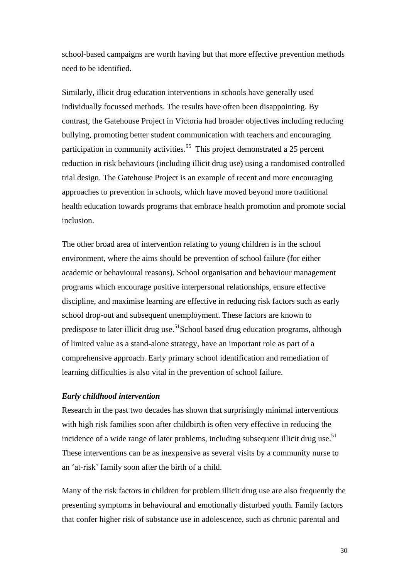school-based campaigns are worth having but that more effective prevention methods need to be identified.

Similarly, illicit drug education interventions in schools have generally used individually focussed methods. The results have often been disappointing. By contrast, the Gatehouse Project in Victoria had broader objectives including reducing bullying, promoting better student communication with teachers and encouraging participation in community activities.<sup>55</sup> This project demonstrated a 25 percent reduction in risk behaviours (including illicit drug use) using a randomised controlled trial design. The Gatehouse Project is an example of recent and more encouraging approaches to prevention in schools, which have moved beyond more traditional health education towards programs that embrace health promotion and promote social inclusion.

The other broad area of intervention relating to young children is in the school environment, where the aims should be prevention of school failure (for either academic or behavioural reasons). School organisation and behaviour management programs which encourage positive interpersonal relationships, ensure effective discipline, and maximise learning are effective in reducing risk factors such as early school drop-out and subsequent unemployment. These factors are known to predispose to later illicit drug use.<sup>51</sup>School based drug education programs, although of limited value as a stand-alone strategy, have an important role as part of a comprehensive approach. Early primary school identification and remediation of learning difficulties is also vital in the prevention of school failure.

### *Early childhood intervention*

Research in the past two decades has shown that surprisingly minimal interventions with high risk families soon after childbirth is often very effective in reducing the incidence of a wide range of later problems, including subsequent illicit drug use.<sup>51</sup> These interventions can be as inexpensive as several visits by a community nurse to an 'at-risk' family soon after the birth of a child.

Many of the risk factors in children for problem illicit drug use are also frequently the presenting symptoms in behavioural and emotionally disturbed youth. Family factors that confer higher risk of substance use in adolescence, such as chronic parental and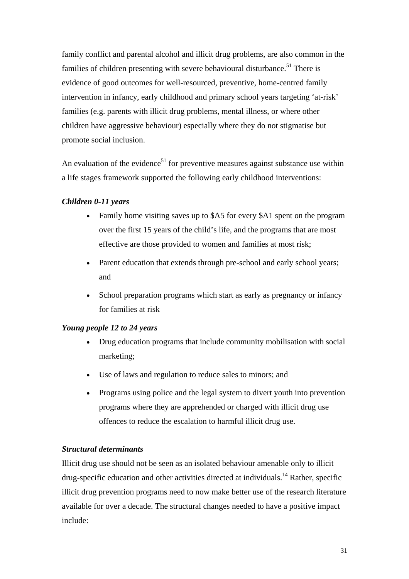family conflict and parental alcohol and illicit drug problems, are also common in the families of children presenting with severe behavioural disturbance.<sup>51</sup> There is evidence of good outcomes for well-resourced, preventive, home-centred family intervention in infancy, early childhood and primary school years targeting 'at-risk' families (e.g. parents with illicit drug problems, mental illness, or where other children have aggressive behaviour) especially where they do not stigmatise but promote social inclusion.

An evaluation of the evidence<sup>51</sup> for preventive measures against substance use within a life stages framework supported the following early childhood interventions:

### *Children 0-11 years*

- Family home visiting saves up to \$A5 for every \$A1 spent on the program over the first 15 years of the child's life, and the programs that are most effective are those provided to women and families at most risk;
- Parent education that extends through pre-school and early school years; and
- School preparation programs which start as early as pregnancy or infancy for families at risk

### *Young people 12 to 24 years*

- Drug education programs that include community mobilisation with social marketing;
- Use of laws and regulation to reduce sales to minors; and
- Programs using police and the legal system to divert youth into prevention programs where they are apprehended or charged with illicit drug use offences to reduce the escalation to harmful illicit drug use.

### *Structural determinants*

Illicit drug use should not be seen as an isolated behaviour amenable only to illicit drug-specific education and other activities directed at individuals.<sup>14</sup> Rather, specific illicit drug prevention programs need to now make better use of the research literature available for over a decade. The structural changes needed to have a positive impact include: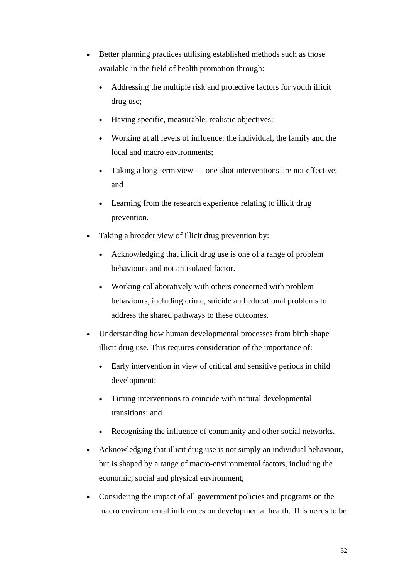- Better planning practices utilising established methods such as those available in the field of health promotion through:
	- Addressing the multiple risk and protective factors for youth illicit drug use;
	- Having specific, measurable, realistic objectives;
	- Working at all levels of influence: the individual, the family and the local and macro environments;
	- Taking a long-term view one-shot interventions are not effective; and
	- Learning from the research experience relating to illicit drug prevention.
- Taking a broader view of illicit drug prevention by:
	- Acknowledging that illicit drug use is one of a range of problem behaviours and not an isolated factor.
	- Working collaboratively with others concerned with problem behaviours, including crime, suicide and educational problems to address the shared pathways to these outcomes.
- Understanding how human developmental processes from birth shape illicit drug use. This requires consideration of the importance of:
	- Early intervention in view of critical and sensitive periods in child development;
	- Timing interventions to coincide with natural developmental transitions; and
	- Recognising the influence of community and other social networks.
- Acknowledging that illicit drug use is not simply an individual behaviour, but is shaped by a range of macro-environmental factors, including the economic, social and physical environment;
- Considering the impact of all government policies and programs on the macro environmental influences on developmental health. This needs to be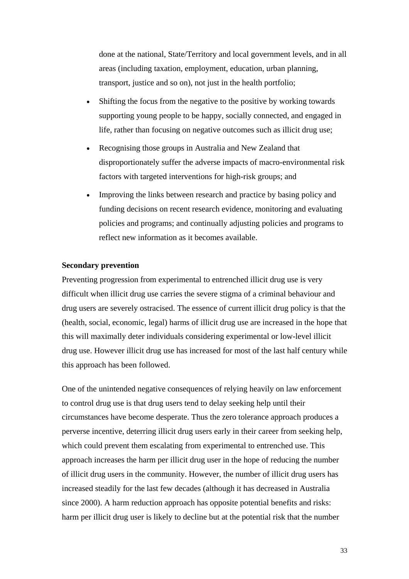done at the national, State/Territory and local government levels, and in all areas (including taxation, employment, education, urban planning, transport, justice and so on), not just in the health portfolio;

- Shifting the focus from the negative to the positive by working towards supporting young people to be happy, socially connected, and engaged in life, rather than focusing on negative outcomes such as illicit drug use;
- Recognising those groups in Australia and New Zealand that disproportionately suffer the adverse impacts of macro-environmental risk factors with targeted interventions for high-risk groups; and
- Improving the links between research and practice by basing policy and funding decisions on recent research evidence, monitoring and evaluating policies and programs; and continually adjusting policies and programs to reflect new information as it becomes available.

### **Secondary prevention**

Preventing progression from experimental to entrenched illicit drug use is very difficult when illicit drug use carries the severe stigma of a criminal behaviour and drug users are severely ostracised. The essence of current illicit drug policy is that the (health, social, economic, legal) harms of illicit drug use are increased in the hope that this will maximally deter individuals considering experimental or low-level illicit drug use. However illicit drug use has increased for most of the last half century while this approach has been followed.

One of the unintended negative consequences of relying heavily on law enforcement to control drug use is that drug users tend to delay seeking help until their circumstances have become desperate. Thus the zero tolerance approach produces a perverse incentive, deterring illicit drug users early in their career from seeking help, which could prevent them escalating from experimental to entrenched use. This approach increases the harm per illicit drug user in the hope of reducing the number of illicit drug users in the community. However, the number of illicit drug users has increased steadily for the last few decades (although it has decreased in Australia since 2000). A harm reduction approach has opposite potential benefits and risks: harm per illicit drug user is likely to decline but at the potential risk that the number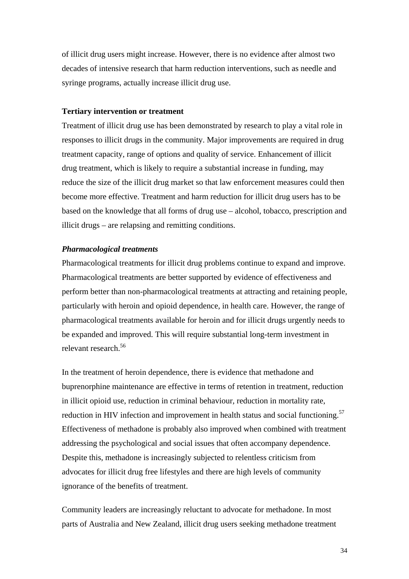of illicit drug users might increase. However, there is no evidence after almost two decades of intensive research that harm reduction interventions, such as needle and syringe programs, actually increase illicit drug use.

### **Tertiary intervention or treatment**

Treatment of illicit drug use has been demonstrated by research to play a vital role in responses to illicit drugs in the community. Major improvements are required in drug treatment capacity, range of options and quality of service. Enhancement of illicit drug treatment, which is likely to require a substantial increase in funding, may reduce the size of the illicit drug market so that law enforcement measures could then become more effective. Treatment and harm reduction for illicit drug users has to be based on the knowledge that all forms of drug use – alcohol, tobacco, prescription and illicit drugs – are relapsing and remitting conditions.

#### *Pharmacological treatments*

Pharmacological treatments for illicit drug problems continue to expand and improve. Pharmacological treatments are better supported by evidence of effectiveness and perform better than non-pharmacological treatments at attracting and retaining people, particularly with heroin and opioid dependence, in health care. However, the range of pharmacological treatments available for heroin and for illicit drugs urgently needs to be expanded and improved. This will require substantial long-term investment in relevant research.<sup>[56](#page-58-49)</sup>

In the treatment of heroin dependence, there is evidence that methadone and buprenorphine maintenance are effective in terms of retention in treatment, reduction in illicit opioid use, reduction in criminal behaviour, reduction in mortality rate, reduction in HIV infection and improvement in health status and social functioning.<sup>57</sup> Effectiveness of methadone is probably also improved when combined with treatment addressing the psychological and social issues that often accompany dependence. Despite this, methadone is increasingly subjected to relentless criticism from advocates for illicit drug free lifestyles and there are high levels of community ignorance of the benefits of treatment.

Community leaders are increasingly reluctant to advocate for methadone. In most parts of Australia and New Zealand, illicit drug users seeking methadone treatment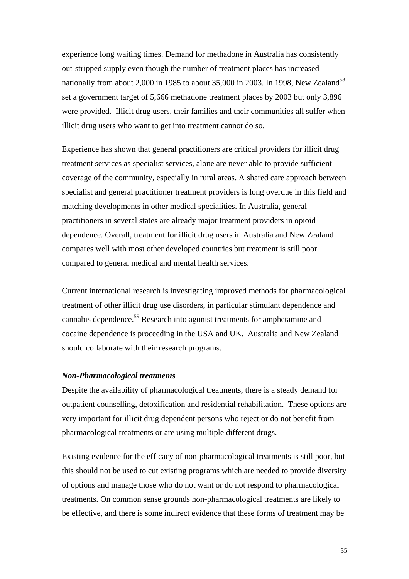experience long waiting times. Demand for methadone in Australia has consistently out-stripped supply even though the number of treatment places has increased nationally from about 2,000 in 1985 to about 35,000 in 2003. In 1998, New Zealand<sup>[58](#page-58-51)</sup> set a government target of 5,666 methadone treatment places by 2003 but only 3,896 were provided. Illicit drug users, their families and their communities all suffer when illicit drug users who want to get into treatment cannot do so.

Experience has shown that general practitioners are critical providers for illicit drug treatment services as specialist services, alone are never able to provide sufficient coverage of the community, especially in rural areas. A shared care approach between specialist and general practitioner treatment providers is long overdue in this field and matching developments in other medical specialities. In Australia, general practitioners in several states are already major treatment providers in opioid dependence. Overall, treatment for illicit drug users in Australia and New Zealand compares well with most other developed countries but treatment is still poor compared to general medical and mental health services.

Current international research is investigating improved methods for pharmacological treatment of other illicit drug use disorders, in particular stimulant dependence and cannabis dependence.<sup>59</sup> Research into agonist treatments for amphetamine and cocaine dependence is proceeding in the USA and UK. Australia and New Zealand should collaborate with their research programs.

#### *Non-Pharmacological treatments*

Despite the availability of pharmacological treatments, there is a steady demand for outpatient counselling, detoxification and residential rehabilitation. These options are very important for illicit drug dependent persons who reject or do not benefit from pharmacological treatments or are using multiple different drugs.

Existing evidence for the efficacy of non-pharmacological treatments is still poor, but this should not be used to cut existing programs which are needed to provide diversity of options and manage those who do not want or do not respond to pharmacological treatments. On common sense grounds non-pharmacological treatments are likely to be effective, and there is some indirect evidence that these forms of treatment may be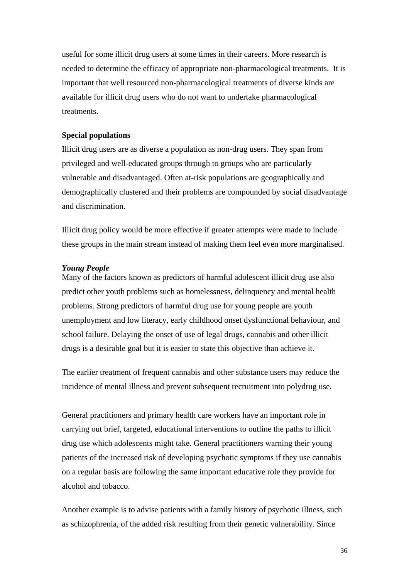useful for some illicit drug users at some times in their careers. More research is needed to determine the efficacy of appropriate non-pharmacological treatments. It is important that well resourced non-pharmacological treatments of diverse kinds are available for illicit drug users who do not want to undertake pharmacological treatments.

### **Special populations**

Illicit drug users are as diverse a population as non-drug users. They span from privileged and well-educated groups through to groups who are particularly vulnerable and disadvantaged. Often at-risk populations are geographically and demographically clustered and their problems are compounded by social disadvantage and discrimination.

Illicit drug policy would be more effective if greater attempts were made to include these groups in the main stream instead of making them feel even more marginalised.

#### *Young People*

Many of the factors known as predictors of harmful adolescent illicit drug use also predict other youth problems such as homelessness, delinquency and mental health problems. Strong predictors of harmful drug use for young people are youth unemployment and low literacy, early childhood onset dysfunctional behaviour, and school failure. Delaying the onset of use of legal drugs, cannabis and other illicit drugs is a desirable goal but it is easier to state this objective than achieve it.

The earlier treatment of frequent cannabis and other substance users may reduce the incidence of mental illness and prevent subsequent recruitment into polydrug use.

General practitioners and primary health care workers have an important role in carrying out brief, targeted, educational interventions to outline the paths to illicit drug use which adolescents might take. General practitioners warning their young patients of the increased risk of developing psychotic symptoms if they use cannabis on a regular basis are following the same important educative role they provide for alcohol and tobacco.

Another example is to advise patients with a family history of psychotic illness, such as schizophrenia, of the added risk resulting from their genetic vulnerability. Since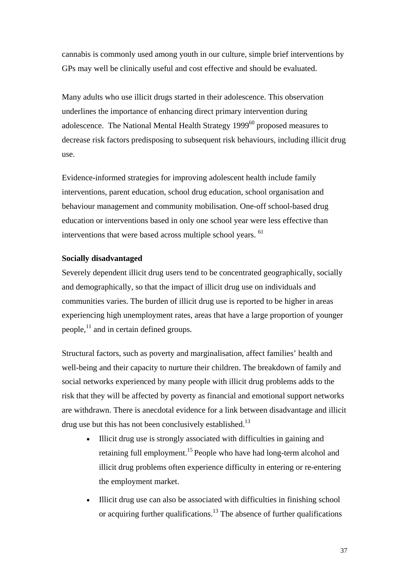cannabis is commonly used among youth in our culture, simple brief interventions by GPs may well be clinically useful and cost effective and should be evaluated.

Many adults who use illicit drugs started in their adolescence. This observation underlines the importance of enhancing direct primary intervention during adolescence. The National Mental Health Strategy  $1999^{60}$  proposed measures to decrease risk factors predisposing to subsequent risk behaviours, including illicit drug use.

Evidence-informed strategies for improving adolescent health include family interventions, parent education, school drug education, school organisation and behaviour management and community mobilisation. One-off school-based drug education or interventions based in only one school year were less effective than interventions that were based across multiple school years. <sup>[61](#page-58-20)</sup>

### **Socially disadvantaged**

Severely dependent illicit drug users tend to be concentrated geographically, socially and demographically, so that the impact of illicit drug use on individuals and communities varies. The burden of illicit drug use is reported to be higher in areas experiencing high unemployment rates, areas that have a large proportion of younger people, $^{11}$  and in certain defined groups.

Structural factors, such as poverty and marginalisation, affect families' health and well-being and their capacity to nurture their children. The breakdown of family and social networks experienced by many people with illicit drug problems adds to the risk that they will be affected by poverty as financial and emotional support networks are withdrawn. There is anecdotal evidence for a link between disadvantage and illicit drug use but this has not been conclusively established.<sup>13</sup>

- Illicit drug use is strongly associated with difficulties in gaining and retaining full employment.15 People who have had long-term alcohol and illicit drug problems often experience difficulty in entering or re-entering the employment market.
- Illicit drug use can also be associated with difficulties in finishing school or acquiring further qualifications.<sup>13</sup> The absence of further qualifications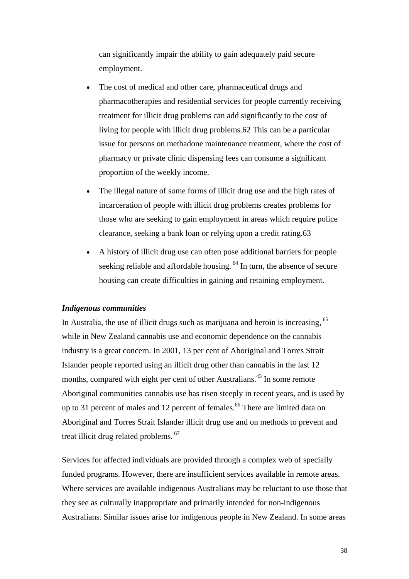can significantly impair the ability to gain adequately paid secure employment.

- The cost of medical and other care, pharmaceutical drugs and pharmacotherapies and residential services for people currently receiving treatment for illicit drug problems can add significantly to the cost of living for people with illicit drug problems.[62](#page-58-38) This can be a particular issue for persons on methadone maintenance treatment, where the cost of pharmacy or private clinic dispensing fees can consume a significant proportion of the weekly income.
- The illegal nature of some forms of illicit drug use and the high rates of incarceration of people with illicit drug problems creates problems for those who are seeking to gain employment in areas which require police clearance, seeking a bank loan or relying upon a credit rating[.63](#page-58-53)
- A history of illicit drug use can often pose additional barriers for people seeking reliable and affordable housing.<sup>64</sup> In turn, the absence of secure housing can create difficulties in gaining and retaining employment.

### *Indigenous communities*

In Australia, the use of illicit drugs such as marijuana and heroin is increasing, <sup>65</sup> while in New Zealand cannabis use and economic dependence on the cannabis industry is a great concern. In 2001, 13 per cent of Aboriginal and Torres Strait Islander people reported using an illicit drug other than cannabis in the last 12 months, compared with eight per cent of other Australians.<sup>43</sup> In some remote Aboriginal communities cannabis use has risen steeply in recent years, and is used by up to 31 percent of males and 12 percent of females.<sup>66</sup> There are limited data on Aboriginal and Torres Strait Islander illicit drug use and on methods to prevent and treat illicit drug related problems. [67](#page-58-57) 

Services for affected individuals are provided through a complex web of specially funded programs. However, there are insufficient services available in remote areas. Where services are available indigenous Australians may be reluctant to use those that they see as culturally inappropriate and primarily intended for non-indigenous Australians. Similar issues arise for indigenous people in New Zealand. In some areas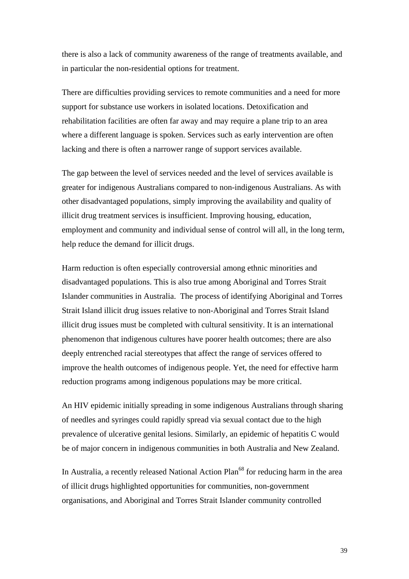there is also a lack of community awareness of the range of treatments available, and in particular the non-residential options for treatment.

There are difficulties providing services to remote communities and a need for more support for substance use workers in isolated locations. Detoxification and rehabilitation facilities are often far away and may require a plane trip to an area where a different language is spoken. Services such as early intervention are often lacking and there is often a narrower range of support services available.

The gap between the level of services needed and the level of services available is greater for indigenous Australians compared to non-indigenous Australians. As with other disadvantaged populations, simply improving the availability and quality of illicit drug treatment services is insufficient. Improving housing, education, employment and community and individual sense of control will all, in the long term, help reduce the demand for illicit drugs.

Harm reduction is often especially controversial among ethnic minorities and disadvantaged populations. This is also true among Aboriginal and Torres Strait Islander communities in Australia. The process of identifying Aboriginal and Torres Strait Island illicit drug issues relative to non-Aboriginal and Torres Strait Island illicit drug issues must be completed with cultural sensitivity. It is an international phenomenon that indigenous cultures have poorer health outcomes; there are also deeply entrenched racial stereotypes that affect the range of services offered to improve the health outcomes of indigenous people. Yet, the need for effective harm reduction programs among indigenous populations may be more critical.

An HIV epidemic initially spreading in some indigenous Australians through sharing of needles and syringes could rapidly spread via sexual contact due to the high prevalence of ulcerative genital lesions. Similarly, an epidemic of hepatitis C would be of major concern in indigenous communities in both Australia and New Zealand.

In Australia, a recently released National Action Plan<sup>68</sup> for reducing harm in the area of illicit drugs highlighted opportunities for communities, non-government organisations, and Aboriginal and Torres Strait Islander community controlled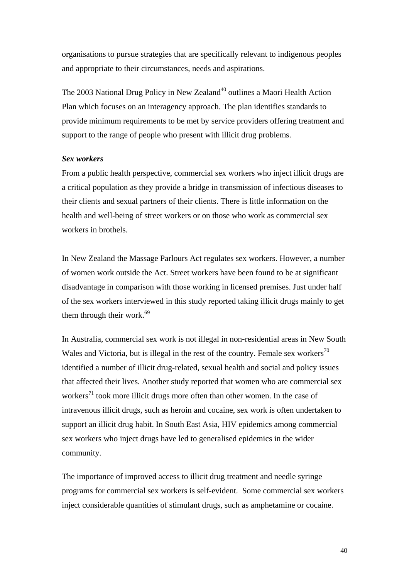organisations to pursue strategies that are specifically relevant to indigenous peoples and appropriate to their circumstances, needs and aspirations.

The 2003 National Drug Policy in New Zealand<sup>40</sup> outlines a Maori Health Action Plan which focuses on an interagency approach. The plan identifies standards to provide minimum requirements to be met by service providers offering treatment and support to the range of people who present with illicit drug problems.

#### *Sex workers*

From a public health perspective, commercial sex workers who inject illicit drugs are a critical population as they provide a bridge in transmission of infectious diseases to their clients and sexual partners of their clients. There is little information on the health and well-being of street workers or on those who work as commercial sex workers in brothels.

In New Zealand the Massage Parlours Act regulates sex workers. However, a number of women work outside the Act. Street workers have been found to be at significant disadvantage in comparison with those working in licensed premises. Just under half of the sex workers interviewed in this study reported taking illicit drugs mainly to get them through their work. $69$ 

In Australia, commercial sex work is not illegal in non-residential areas in New South Wales and Victoria, but is illegal in the rest of the country. Female sex workers<sup>[70](#page-58-44)</sup> identified a number of illicit drug-related, sexual health and social and policy issues that affected their lives. Another study reported that women who are commercial sex workers<sup>71</sup> took more illicit drugs more often than other women. In the case of intravenous illicit drugs, such as heroin and cocaine, sex work is often undertaken to support an illicit drug habit. In South East Asia, HIV epidemics among commercial sex workers who inject drugs have led to generalised epidemics in the wider community.

The importance of improved access to illicit drug treatment and needle syringe programs for commercial sex workers is self-evident. Some commercial sex workers inject considerable quantities of stimulant drugs, such as amphetamine or cocaine.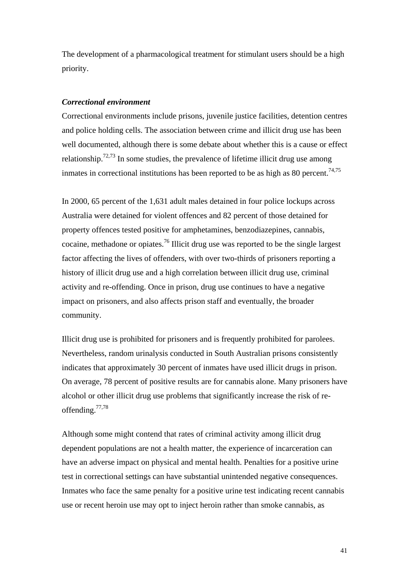The development of a pharmacological treatment for stimulant users should be a high priority.

### *Correctional environment*

Correctional environments include prisons, juvenile justice facilities, detention centres and police holding cells. The association between crime and illicit drug use has been well documented, although there is some debate about whether this is a cause or effect relationship.<sup>[72,](#page-58-61)73</sup> In some studies, the prevalence of lifetime illicit drug use among inmates in correctional institutions has been reported to be as high as 80 percent.<sup>[74,](#page-58-63)[75](#page-58-64)</sup>

In 2000, 65 percent of the 1,631 adult males detained in four police lockups across Australia were detained for violent offences and 82 percent of those detained for property offences tested positive for amphetamines, benzodiazepines, cannabis, cocaine, methadone or opiates.[76 I](#page-58-65)llicit drug use was reported to be the single largest factor affecting the lives of offenders, with over two-thirds of prisoners reporting a history of illicit drug use and a high correlation between illicit drug use, criminal activity and re-offending. Once in prison, drug use continues to have a negative impact on prisoners, and also affects prison staff and eventually, the broader community.

Illicit drug use is prohibited for prisoners and is frequently prohibited for parolees. Nevertheless, random urinalysis conducted in South Australian prisons consistently indicates that approximately 30 percent of inmates have used illicit drugs in prison. On average, 78 percent of positive results are for cannabis alone. Many prisoners have alcohol or other illicit drug use problems that significantly increase the risk of reoffending.[77,](#page-58-66)[78](#page-58-67) 

Although some might contend that rates of criminal activity among illicit drug dependent populations are not a health matter, the experience of incarceration can have an adverse impact on physical and mental health. Penalties for a positive urine test in correctional settings can have substantial unintended negative consequences. Inmates who face the same penalty for a positive urine test indicating recent cannabis use or recent heroin use may opt to inject heroin rather than smoke cannabis, as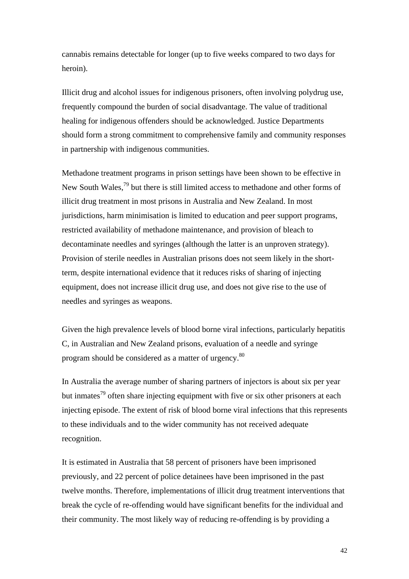cannabis remains detectable for longer (up to five weeks compared to two days for heroin).

Illicit drug and alcohol issues for indigenous prisoners, often involving polydrug use, frequently compound the burden of social disadvantage. The value of traditional healing for indigenous offenders should be acknowledged. Justice Departments should form a strong commitment to comprehensive family and community responses in partnership with indigenous communities.

Methadone treatment programs in prison settings have been shown to be effective in New South Wales,<sup>79</sup> but there is still limited access to methadone and other forms of illicit drug treatment in most prisons in Australia and New Zealand. In most jurisdictions, harm minimisation is limited to education and peer support programs, restricted availability of methadone maintenance, and provision of bleach to decontaminate needles and syringes (although the latter is an unproven strategy). Provision of sterile needles in Australian prisons does not seem likely in the shortterm, despite international evidence that it reduces risks of sharing of injecting equipment, does not increase illicit drug use, and does not give rise to the use of needles and syringes as weapons.

Given the high prevalence levels of blood borne viral infections, particularly hepatitis C, in Australian and New Zealand prisons, evaluation of a needle and syringe program should be considered as a matter of urgency.<sup>80</sup>

In Australia the average number of sharing partners of injectors is about six per year but inmates<sup>79</sup> often share injecting equipment with five or six other prisoners at each injecting episode. The extent of risk of blood borne viral infections that this represents to these individuals and to the wider community has not received adequate recognition.

It is estimated in Australia that 58 percent of prisoners have been imprisoned previously, and 22 percent of police detainees have been imprisoned in the past twelve months. Therefore, implementations of illicit drug treatment interventions that break the cycle of re-offending would have significant benefits for the individual and their community. The most likely way of reducing re-offending is by providing a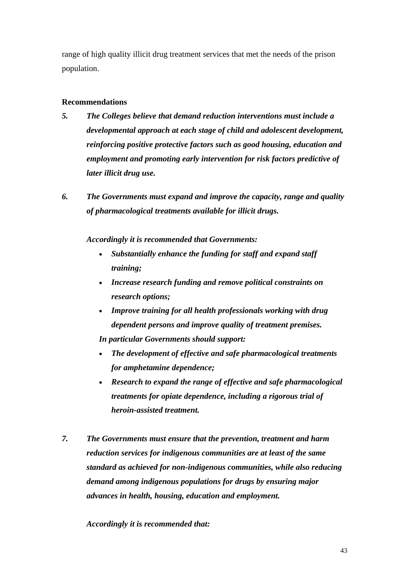range of high quality illicit drug treatment services that met the needs of the prison population.

### **Recommendations**

- *5. The Colleges believe that demand reduction interventions must include a developmental approach at each stage of child and adolescent development, reinforcing positive protective factors such as good housing, education and employment and promoting early intervention for risk factors predictive of later illicit drug use.*
- *6. The Governments must expand and improve the capacity, range and quality of pharmacological treatments available for illicit drugs.*

*Accordingly it is recommended that Governments:* 

- *Substantially enhance the funding for staff and expand staff training;*
- *Increase research funding and remove political constraints on research options;*
- *Improve training for all health professionals working with drug dependent persons and improve quality of treatment premises.*

*In particular Governments should support:* 

- *The development of effective and safe pharmacological treatments for amphetamine dependence;*
- *Research to expand the range of effective and safe pharmacological treatments for opiate dependence, including a rigorous trial of heroin-assisted treatment.*
- *7. The Governments must ensure that the prevention, treatment and harm reduction services for indigenous communities are at least of the same standard as achieved for non-indigenous communities, while also reducing demand among indigenous populations for drugs by ensuring major advances in health, housing, education and employment.*

*Accordingly it is recommended that:*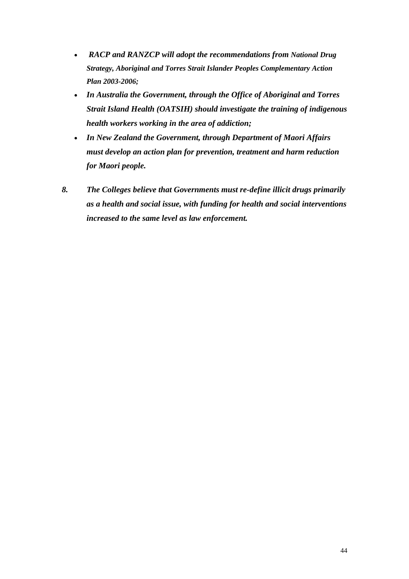- *RACP and RANZCP will adopt the recommendations from National Drug Strategy, Aboriginal and Torres Strait Islander Peoples Complementary Action Plan 2003-2006;*
- *In Australia the Government, through the Office of Aboriginal and Torres Strait Island Health (OATSIH) should investigate the training of indigenous health workers working in the area of addiction;*
- *In New Zealand the Government, through Department of Maori Affairs must develop an action plan for prevention, treatment and harm reduction for Maori people.*
- *8. The Colleges believe that Governments must re-define illicit drugs primarily as a health and social issue, with funding for health and social interventions increased to the same level as law enforcement.*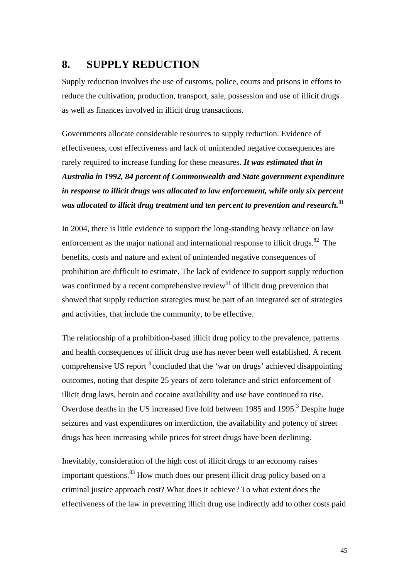### <span id="page-44-0"></span>**8. SUPPLY REDUCTION**

Supply reduction involves the use of customs, police, courts and prisons in efforts to reduce the cultivation, production, transport, sale, possession and use of illicit drugs as well as finances involved in illicit drug transactions.

Governments allocate considerable resources to supply reduction. Evidence of effectiveness, cost effectiveness and lack of unintended negative consequences are rarely required to increase funding for these measures*. It was estimated that in Australia in 1992, 84 percent of Commonwealth and State government expenditure in response to illicit drugs was allocated to law enforcement, while only six percent*  was allocated to illicit drug treatment and ten percent to prevention and research.<sup>[81](#page-58-69)</sup>

In 2004, there is little evidence to support the long-standing heavy reliance on law enforcement as the major national and international response to illicit drugs. $82$  The benefits, costs and nature and extent of unintended negative consequences of prohibition are difficult to estimate. The lack of evidence to support supply reduction was confirmed by a recent comprehensive review<sup>51</sup> of illicit drug prevention that showed that supply reduction strategies must be part of an integrated set of strategies and activities, that include the community, to be effective.

The relationship of a prohibition-based illicit drug policy to the prevalence, patterns and health consequences of illicit drug use has never been well established. A recent comprehensive US report  $3$  concluded that the 'war on drugs' achieved disappointing outcomes, noting that despite 25 years of zero tolerance and strict enforcement of illicit drug laws, heroin and cocaine availability and use have continued to rise. Overdose deaths in the US increased five fold between 1985 and 1995.<sup>3</sup> Despite huge seizures and vast expenditures on interdiction, the availability and potency of street drugs has been increasing while prices for street drugs have been declining.

Inevitably, consideration of the high cost of illicit drugs to an economy raises important questions.<sup>83</sup> How much does our present illicit drug policy based on a criminal justice approach cost? What does it achieve? To what extent does the effectiveness of the law in preventing illicit drug use indirectly add to other costs paid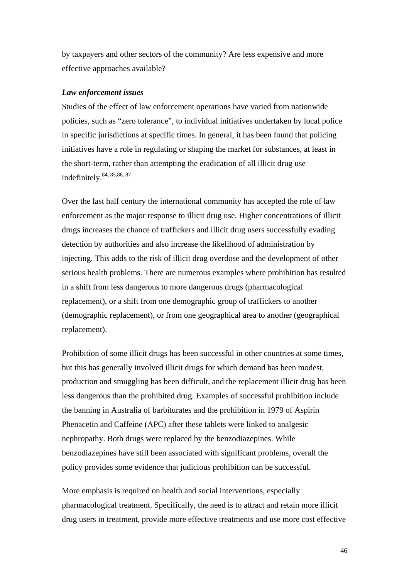by taxpayers and other sectors of the community? Are less expensive and more effective approaches available?

#### *Law enforcement issues*

Studies of the effect of law enforcement operations have varied from nationwide policies, such as "zero tolerance", to individual initiatives undertaken by local police in specific jurisdictions at specific times. In general, it has been found that policing initiatives have a role in regulating or shaping the market for substances, at least in the short-term, rather than attempting the eradication of all illicit drug use indefinitely.[84,](#page-58-72) [85,8](#page-58-73)[6, 8](#page-58-74)[7](#page-58-75)

Over the last half century the international community has accepted the role of law enforcement as the major response to illicit drug use. Higher concentrations of illicit drugs increases the chance of traffickers and illicit drug users successfully evading detection by authorities and also increase the likelihood of administration by injecting. This adds to the risk of illicit drug overdose and the development of other serious health problems. There are numerous examples where prohibition has resulted in a shift from less dangerous to more dangerous drugs (pharmacological replacement), or a shift from one demographic group of traffickers to another (demographic replacement), or from one geographical area to another (geographical replacement).

Prohibition of some illicit drugs has been successful in other countries at some times, but this has generally involved illicit drugs for which demand has been modest, production and smuggling has been difficult, and the replacement illicit drug has been less dangerous than the prohibited drug. Examples of successful prohibition include the banning in Australia of barbiturates and the prohibition in 1979 of Aspirin Phenacetin and Caffeine (APC) after these tablets were linked to analgesic nephropathy. Both drugs were replaced by the benzodiazepines. While benzodiazepines have still been associated with significant problems, overall the policy provides some evidence that judicious prohibition can be successful.

More emphasis is required on health and social interventions, especially pharmacological treatment. Specifically, the need is to attract and retain more illicit drug users in treatment, provide more effective treatments and use more cost effective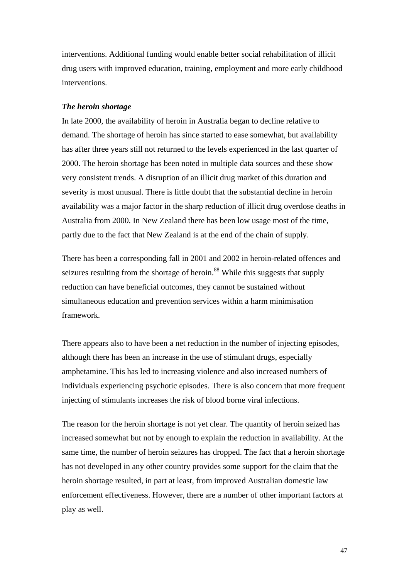interventions. Additional funding would enable better social rehabilitation of illicit drug users with improved education, training, employment and more early childhood interventions.

### *The heroin shortage*

In late 2000, the availability of heroin in Australia began to decline relative to demand. The shortage of heroin has since started to ease somewhat, but availability has after three years still not returned to the levels experienced in the last quarter of 2000. The heroin shortage has been noted in multiple data sources and these show very consistent trends. A disruption of an illicit drug market of this duration and severity is most unusual. There is little doubt that the substantial decline in heroin availability was a major factor in the sharp reduction of illicit drug overdose deaths in Australia from 2000. In New Zealand there has been low usage most of the time, partly due to the fact that New Zealand is at the end of the chain of supply.

There has been a corresponding fall in 2001 and 2002 in heroin-related offences and seizures resulting from the shortage of heroin.<sup>88</sup> While this suggests that supply reduction can have beneficial outcomes, they cannot be sustained without simultaneous education and prevention services within a harm minimisation framework.

There appears also to have been a net reduction in the number of injecting episodes, although there has been an increase in the use of stimulant drugs, especially amphetamine. This has led to increasing violence and also increased numbers of individuals experiencing psychotic episodes. There is also concern that more frequent injecting of stimulants increases the risk of blood borne viral infections.

The reason for the heroin shortage is not yet clear. The quantity of heroin seized has increased somewhat but not by enough to explain the reduction in availability. At the same time, the number of heroin seizures has dropped. The fact that a heroin shortage has not developed in any other country provides some support for the claim that the heroin shortage resulted, in part at least, from improved Australian domestic law enforcement effectiveness. However, there are a number of other important factors at play as well.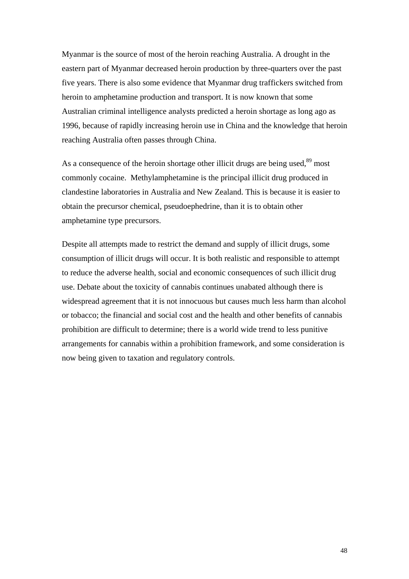Myanmar is the source of most of the heroin reaching Australia. A drought in the eastern part of Myanmar decreased heroin production by three-quarters over the past five years. There is also some evidence that Myanmar drug traffickers switched from heroin to amphetamine production and transport. It is now known that some Australian criminal intelligence analysts predicted a heroin shortage as long ago as 1996, because of rapidly increasing heroin use in China and the knowledge that heroin reaching Australia often passes through China.

As a consequence of the heroin shortage other illicit drugs are being used,<sup>89</sup> most commonly cocaine. Methylamphetamine is the principal illicit drug produced in clandestine laboratories in Australia and New Zealand. This is because it is easier to obtain the precursor chemical, pseudoephedrine, than it is to obtain other amphetamine type precursors.

Despite all attempts made to restrict the demand and supply of illicit drugs, some consumption of illicit drugs will occur. It is both realistic and responsible to attempt to reduce the adverse health, social and economic consequences of such illicit drug use. Debate about the toxicity of cannabis continues unabated although there is widespread agreement that it is not innocuous but causes much less harm than alcohol or tobacco; the financial and social cost and the health and other benefits of cannabis prohibition are difficult to determine; there is a world wide trend to less punitive arrangements for cannabis within a prohibition framework, and some consideration is now being given to taxation and regulatory controls.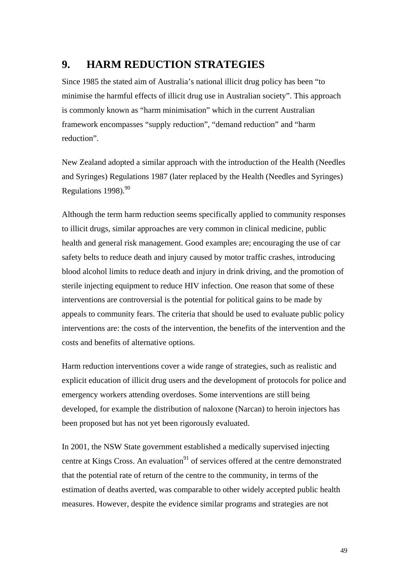### <span id="page-48-0"></span>**9. HARM REDUCTION STRATEGIES**

Since 1985 the stated aim of Australia's national illicit drug policy has been "to minimise the harmful effects of illicit drug use in Australian society". This approach is commonly known as "harm minimisation" which in the current Australian framework encompasses "supply reduction", "demand reduction" and "harm reduction".

New Zealand adopted a similar approach with the introduction of the Health (Needles and Syringes) Regulations 1987 (later replaced by the Health (Needles and Syringes) Regulations 1998).<sup>[90](#page-58-78)</sup>

Although the term harm reduction seems specifically applied to community responses to illicit drugs, similar approaches are very common in clinical medicine, public health and general risk management. Good examples are; encouraging the use of car safety belts to reduce death and injury caused by motor traffic crashes, introducing blood alcohol limits to reduce death and injury in drink driving, and the promotion of sterile injecting equipment to reduce HIV infection. One reason that some of these interventions are controversial is the potential for political gains to be made by appeals to community fears. The criteria that should be used to evaluate public policy interventions are: the costs of the intervention, the benefits of the intervention and the costs and benefits of alternative options.

Harm reduction interventions cover a wide range of strategies, such as realistic and explicit education of illicit drug users and the development of protocols for police and emergency workers attending overdoses. Some interventions are still being developed, for example the distribution of naloxone (Narcan) to heroin injectors has been proposed but has not yet been rigorously evaluated.

In 2001, the NSW State government established a medically supervised injecting centre at Kings Cross. An evaluation $91$  of services offered at the centre demonstrated that the potential rate of return of the centre to the community, in terms of the estimation of deaths averted, was comparable to other widely accepted public health measures. However, despite the evidence similar programs and strategies are not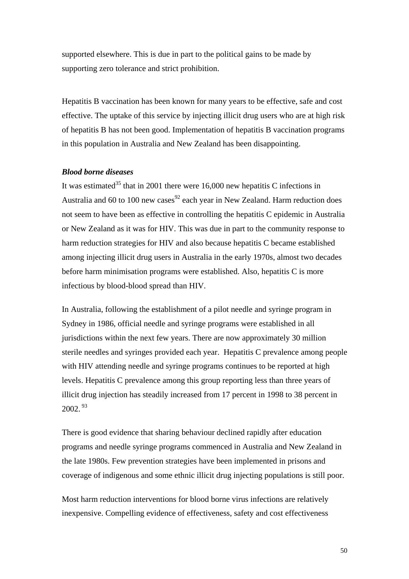supported elsewhere. This is due in part to the political gains to be made by supporting zero tolerance and strict prohibition.

Hepatitis B vaccination has been known for many years to be effective, safe and cost effective. The uptake of this service by injecting illicit drug users who are at high risk of hepatitis B has not been good. Implementation of hepatitis B vaccination programs in this population in Australia and New Zealand has been disappointing.

### *Blood borne diseases*

It was estimated<sup>35</sup> that in 2001 there were 16,000 new hepatitis C infections in Australia and 60 to 100 new cases<sup>92</sup> each year in New Zealand. Harm reduction does not seem to have been as effective in controlling the hepatitis C epidemic in Australia or New Zealand as it was for HIV. This was due in part to the community response to harm reduction strategies for HIV and also because hepatitis C became established among injecting illicit drug users in Australia in the early 1970s, almost two decades before harm minimisation programs were established. Also, hepatitis C is more infectious by blood-blood spread than HIV.

In Australia, following the establishment of a pilot needle and syringe program in Sydney in 1986, official needle and syringe programs were established in all jurisdictions within the next few years. There are now approximately 30 million sterile needles and syringes provided each year. Hepatitis C prevalence among people with HIV attending needle and syringe programs continues to be reported at high levels. Hepatitis C prevalence among this group reporting less than three years of illicit drug injection has steadily increased from 17 percent in 1998 to 38 percent in 2002. [93](#page-58-81)

There is good evidence that sharing behaviour declined rapidly after education programs and needle syringe programs commenced in Australia and New Zealand in the late 1980s. Few prevention strategies have been implemented in prisons and coverage of indigenous and some ethnic illicit drug injecting populations is still poor.

Most harm reduction interventions for blood borne virus infections are relatively inexpensive. Compelling evidence of effectiveness, safety and cost effectiveness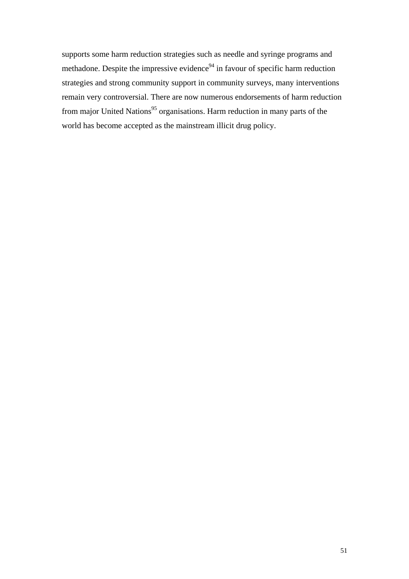supports some harm reduction strategies such as needle and syringe programs and methadone. Despite the impressive evidence<sup>94</sup> in favour of specific harm reduction strategies and strong community support in community surveys, many interventions remain very controversial. There are now numerous endorsements of harm reduction from major United Nations<sup>95</sup> organisations. Harm reduction in many parts of the world has become accepted as the mainstream illicit drug policy.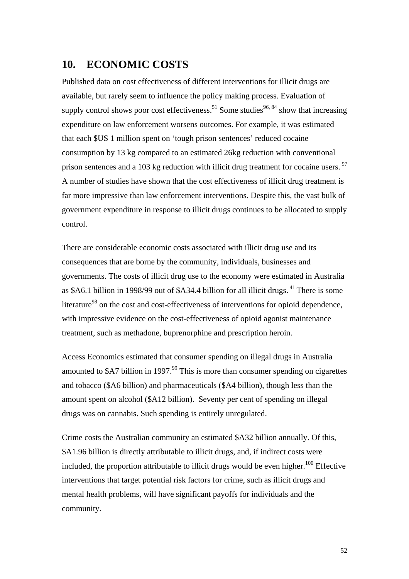### <span id="page-51-0"></span>**10. ECONOMIC COSTS**

Published data on cost effectiveness of different interventions for illicit drugs are available, but rarely seem to influence the policy making process. Evaluation of supply control shows poor cost effectiveness.<sup>51</sup> Some studies<sup>[96,](#page-58-84) 84</sup> show that increasing expenditure on law enforcement worsens outcomes. For example, it was estimated that each \$US 1 million spent on 'tough prison sentences' reduced cocaine consumption by 13 kg compared to an estimated 26kg reduction with conventional prison sentences and a 103 kg reduction with illicit drug treatment for cocaine users.  $97$ A number of studies have shown that the cost effectiveness of illicit drug treatment is far more impressive than law enforcement interventions. Despite this, the vast bulk of government expenditure in response to illicit drugs continues to be allocated to supply control.

There are considerable economic costs associated with illicit drug use and its consequences that are borne by the community, individuals, businesses and governments. The costs of illicit drug use to the economy were estimated in Australia as \$A6.1 billion in 1998/99 out of \$A34.4 billion for all illicit drugs. <sup>41</sup> There is some literature<sup>98</sup> on the cost and cost-effectiveness of interventions for opioid dependence, with impressive evidence on the cost-effectiveness of opioid agonist maintenance treatment, such as methadone, buprenorphine and prescription heroin.

Access Economics estimated that consumer spending on illegal drugs in Australia amounted to  $$A7$  billion in 1997.<sup>99</sup> This is more than consumer spending on cigarettes and tobacco (\$A6 billion) and pharmaceuticals (\$A4 billion), though less than the amount spent on alcohol (\$A12 billion). Seventy per cent of spending on illegal drugs was on cannabis. Such spending is entirely unregulated.

Crime costs the Australian community an estimated \$A32 billion annually. Of this, \$A1.96 billion is directly attributable to illicit drugs, and, if indirect costs were included, the proportion attributable to illicit drugs would be even higher.<sup>100</sup> Effective interventions that target potential risk factors for crime, such as illicit drugs and mental health problems, will have significant payoffs for individuals and the community.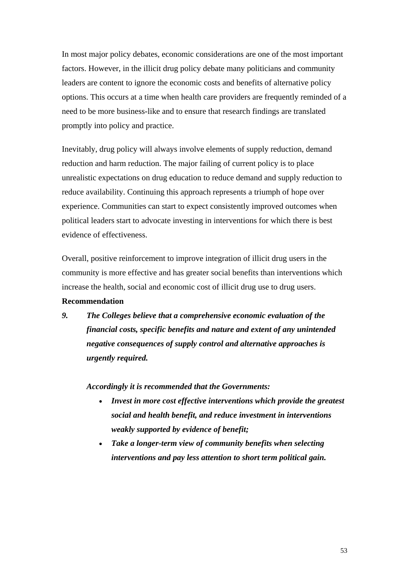In most major policy debates, economic considerations are one of the most important factors. However, in the illicit drug policy debate many politicians and community leaders are content to ignore the economic costs and benefits of alternative policy options. This occurs at a time when health care providers are frequently reminded of a need to be more business-like and to ensure that research findings are translated promptly into policy and practice.

Inevitably, drug policy will always involve elements of supply reduction, demand reduction and harm reduction. The major failing of current policy is to place unrealistic expectations on drug education to reduce demand and supply reduction to reduce availability. Continuing this approach represents a triumph of hope over experience. Communities can start to expect consistently improved outcomes when political leaders start to advocate investing in interventions for which there is best evidence of effectiveness.

Overall, positive reinforcement to improve integration of illicit drug users in the community is more effective and has greater social benefits than interventions which increase the health, social and economic cost of illicit drug use to drug users. **Recommendation** 

*9. The Colleges believe that a comprehensive economic evaluation of the financial costs, specific benefits and nature and extent of any unintended negative consequences of supply control and alternative approaches is urgently required.* 

*Accordingly it is recommended that the Governments:* 

- *Invest in more cost effective interventions which provide the greatest social and health benefit, and reduce investment in interventions weakly supported by evidence of benefit;*
- *Take a longer-term view of community benefits when selecting interventions and pay less attention to short term political gain.*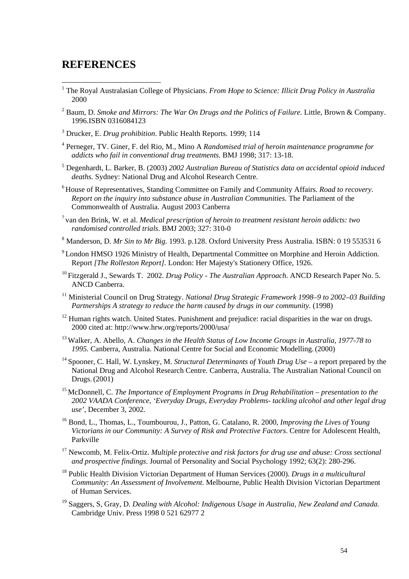### <span id="page-53-0"></span>**REFERENCES**

 $\overline{a}$ 

- <sup>1</sup> The Royal Australasian College of Physicians. *From Hope to Science: Illicit Drug Policy in Australia* 2000
- 2 Baum, D. *Smoke and Mirrors: The War On Drugs and the Politics of Failure.* Little, Brown & Company. 1996.ISBN 0316084123
- 3 Drucker, E. *Drug prohibition*. Public Health Reports. 1999; 114
- 4 Perneger, TV. Giner, F. del Rio, M., Mino A *Randomised trial of heroin maintenance programme for addicts who fail in conventional drug treatments.* BMJ 1998; 317: 13-18.
- 5 Degenhardt, L. Barker, B. (2003) *2002 Australian Bureau of Statistics data on accidental opioid induced deaths.* Sydney: National Drug and Alcohol Research Centre.
- 6 House of Representatives, Standing Committee on Family and Community Affairs. *Road to recovery. Report on the inquiry into substance abuse in Australian Communities.* The Parliament of the Commonwealth of Australia. August 2003 Canberra
- 7 van den Brink, W. et al. *Medical prescription of heroin to treatment resistant heroin addicts: two randomised controlled trials*. BMJ 2003; 327: 310-0
- 8 Manderson, D. *Mr Sin to Mr Big.* 1993. p.128. Oxford University Press Australia. ISBN: 0 19 553531 6
- <sup>9</sup> London HMSO 1926 Ministry of Health, Departmental Committee on Morphine and Heroin Addiction. Report *[The Rolleston Report].* London: Her Majesty's Stationery Office, 1926.
- 10 Fitzgerald J., Sewards T. 2002. *Drug Policy The Australian Approach*. ANCD Research Paper No. 5. ANCD Canberra.
- <sup>11</sup> Ministerial Council on Drug Strategy. *National Drug Strategic Framework 1998–9 to 2002–03 Building Partnerships A strategy to reduce the harm caused by drugs in our community.* (1998)
- <sup>12</sup> Human rights watch. United States. Punishment and prejudice: racial disparities in the war on drugs. 2000 cited at: http://www.hrw.org/reports/2000/usa/
- 13 Walker, A. Abello, A. *Changes in the Health Status of Low Income Groups in Australia, 1977-78 to 1995.* Canberra, Australia. National Centre for Social and Economic Modelling.(2000)
- 14 Spooner, C. Hall, W. Lynskey, M. *Structural Determinants of Youth Drug Use* a report prepared by the National Drug and Alcohol Research Centre. Canberra, Australia. The Australian National Council on Drugs.(2001)
- 15 McDonnell, C. *The Importance of Employment Programs in Drug Rehabilitation presentation to the 2002 VAADA Conference, 'Everyday Drugs, Everyday Problems- tackling alcohol and other legal drug use'*, December 3, 2002.
- 16 Bond, L., Thomas, L., Toumbourou, J., Patton, G. Catalano, R. 2000, *Improving the Lives of Young Victorians in our Community: A Survey of Risk and Protective Factors*. Centre for Adolescent Health, Parkville
- 17 Newcomb, M. Felix-Ortiz. *Multiple protective and risk factors for drug use and abuse: Cross sectional and prospective findings*. Journal of Personality and Social Psychology 1992; 63(2): 280-296.
- 18 Public Health Division Victorian Department of Human Services (2000). *Drugs in a multicultural Community: An Assessment of Involvement*. Melbourne, Public Health Division Victorian Department of Human Services.
- 19 Saggers, S, Gray, D. *Dealing with Alcohol: Indigenous Usage in Australia, New Zealand and Canada.* Cambridge Univ. Press 1998 0 521 62977 2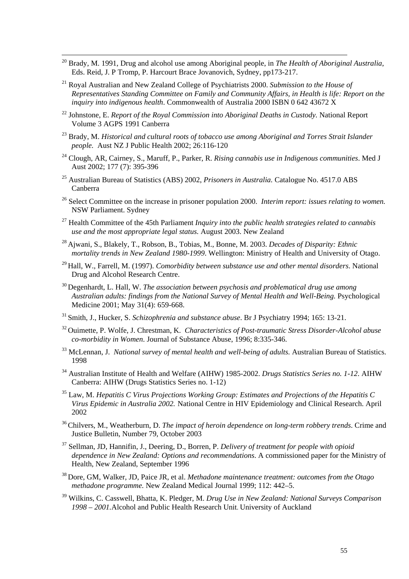- 20 Brady, M. 1991, Drug and alcohol use among Aboriginal people, in *The Health of Aboriginal Australia*, Eds. Reid, J. P Tromp, P. Harcourt Brace Jovanovich, Sydney, pp173-217.
- 21 Royal Australian and New Zealand College of Psychiatrists 2000. *Submission to the House of Representatives Standing Committee on Family and Community Affairs, in Health is life: Report on the inquiry into indigenous health*. Commonwealth of Australia 2000 ISBN 0 642 43672 X
- <sup>22</sup> Johnstone, E. *Report of the Royal Commission into Aboriginal Deaths in Custody*. National Report Volume 3 AGPS 1991 Canberra
- 23 Brady, M. *Historical and cultural roots of tobacco use among Aboriginal and Torres Strait Islander people.* Aust NZ J Public Health 2002; 26:116-120
- 24 Clough, AR, Cairney, S., Maruff, P., Parker, R. *Rising cannabis use in Indigenous communities*. Med J Aust 2002; 177 (7): 395-396
- 25 Australian Bureau of Statistics (ABS) 2002, *Prisoners in Australia.* Catalogue No. 4517.0 ABS Canberra
- 26 Select Committee on the increase in prisoner population 2000. *Interim report: issues relating to women.*  NSW Parliament. Sydney
- 27 Health Committee of the 45th Parliament *Inquiry into the public health strategies related to cannabis use and the most appropriate legal status.* August 2003. New Zealand
- 28 Ajwani, S., Blakely, T., Robson, B., Tobias, M., Bonne, M. 2003. *Decades of Disparity: Ethnic mortality trends in New Zealand 1980-1999*. Wellington: Ministry of Health and University of Otago.
- 29 Hall, W., Farrell, M. (1997). *Comorbidity between substance use and other mental disorders*. National Drug and Alcohol Research Centre.
- 30 Degenhardt, L. Hall, W. *The association between psychosis and problematical drug use among Australian adults: findings from the National Survey of Mental Health and Well-Being.* Psychological Medicine 2001; May 31(4): 659-668.
- 31 Smith, J., Hucker, S. *Schizophrenia and substance abuse*. Br J Psychiatry 1994; 165: 13-21.
- 32 Ouimette, P. Wolfe, J. Chrestman, K. *Characteristics of Post-traumatic Stress Disorder-Alcohol abuse co-morbidity in Women*. Journal of Substance Abuse, 1996; 8:335-346.
- 33 McLennan, J. *National survey of mental health and well-being of adults.* Australian Bureau of Statistics. 1998
- 34 Australian Institute of Health and Welfare (AIHW) 1985-2002. *Drugs Statistics Series no. 1-12*. AIHW Canberra: AIHW (Drugs Statistics Series no. 1-12)
- 35 Law, M. *Hepatitis C Virus Projections Working Group: Estimates and Projections of the Hepatitis C Virus Epidemic in Australia 2002.* National Centre in HIV Epidemiology and Clinical Research. April 2002
- 36 Chilvers, M., Weatherburn, D. *The impact of heroin dependence on long-term robbery trends*. Crime and Justice Bulletin, Number 79, October 2003
- 37 Sellman, JD, Hannifin, J., Deering, D., Borren, P. *Delivery of treatment for people with opioid dependence in New Zealand: Options and recommendations*. A commissioned paper for the Ministry of Health, New Zealand, September 1996
- 38 Dore, GM, Walker, JD, Paice JR, et al. *Methadone maintenance treatment: outcomes from the Otago methadone programme.* New Zealand Medical Journal 1999; 112: 442–5.
- 39 Wilkins, C. Casswell, Bhatta, K. Pledger, M. *Drug Use in New Zealand: National Surveys Comparison 1998 – 2001.*Alcohol and Public Health Research Unit. University of Auckland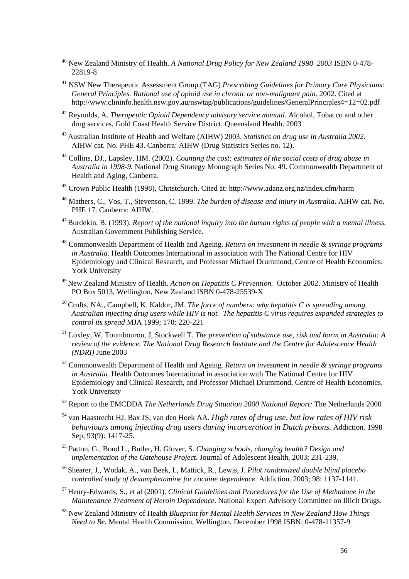- 40 New Zealand Ministry of Health. *A National Drug Policy for New Zealand 1998–2003* ISBN 0-478- 22819-8
- 41 NSW New Therapeutic Assessment Group.(TAG) *Prescribing Guidelines for Primary Care Physicians: General Principles. Rational use of opioid use in chronic or non-malignant pain.* 2002. Cited at http://www.clininfo.health.nsw.gov.au/nswtag/publications/guidelines/GeneralPrinciples4=12=02.pdf
- 42 Reynolds, A. *Therapeutic Opioid Dependency advisory service manual.* Alcohol, Tobacco and other drug services, Gold Coast Health Service District, Queensland Health. 2003
- 43 Australian Institute of Health and Welfare (AIHW) 2003. *Statistics on drug use in Australia 2002*. AIHW cat. No. PHE 43. Canberra: AIHW (Drug Statistics Series no. 12).
- 44 Collins, DJ., Lapsley, HM. (2002). *Counting the cost: estimates of the social costs of drug abuse in Australia in 1998-9.* National Drug Strategy Monograph Series No. 49. Commonwealth Department of Health and Aging, Canberra.
- 45 Crown Public Health (1998), Christchurch. Cited at: http://www.adanz.org.nz/index.cfm/harm
- 46 Mathers, C., Vos, T., Stevenson, C. 1999. *The burden of disease and injury in Australia*. AIHW cat. No. PHE 17. Canberra: AIHW.
- 47 Burdekin, B. (1993). *Report of the national inquiry into the human rights of people with a mental illness.* Australian Government Publishing Service.
- 48 Commonwealth Department of Health and Ageing. *Return on investment in needle & syringe programs in Australia.* Health Outcomes International in association with The National Centre for HIV Epidemiology and Clinical Research, and Professor Michael Drummond, Centre of Health Economics. York University
- 49 New Zealand Ministry of Health. *Action on Hepatitis C Prevention.* October 2002. Ministry of Health PO Box 5013, Wellington, New Zealand ISBN 0-478-25539-X
- 50 Crofts, NA., Campbell, K. Kaldor, JM. *The force of numbers: why hepatitis C is spreading among Australian injecting drug users while HIV is not. The hepatitis C virus requires expanded strategies to control its spread* MJA 1999; 170: 220-221
- 51 Loxley, W, Toumbourou, J, Stockwell T. *The prevention of substance use, risk and harm in Australia: A review of the evidence. The National Drug Research Institute and the Centre for Adolescence Health (NDRI)* June 2003
- 52 Commonwealth Department of Health and Ageing. *Return on investment in needle & syringe programs in Australia.* Health Outcomes International in association with The National Centre for HIV Epidemiology and Clinical Research, and Professor Michael Drummond, Centre of Health Economics. York University
- 53 Report to the EMCDDA *The Netherlands Drug Situation 2000 National Report:* The Netherlands 2000
- 54 van Haastrecht HJ, Bax JS, van den Hoek AA. *High rates of drug use, but low rates of HIV risk behaviours among injecting drug users during incarceration in Dutch prisons.* Addiction. 1998 Sep; 93(9): 1417-25.
- 55 Patton, G., Bond L., Butler, H. Glover, S. *Changing schools, changing health? Design and implementation of the Gatehouse Project.* Journal of Adolescent Health, 2003; 231-239.
- 56 Shearer, J., Wodak, A., van Beek, I., Mattick, R., Lewis, J. *Pilot randomized double blind placebo controlled study of dexamphetamine for cocaine dependence.* Addiction. 2003; 98: 1137-1141.
- 57 Henry-Edwards, S., et al (2001). *Clinical Guidelines and Procedures for the Use of Methadone in the Maintenance Treatment of Heroin Dependence*. National Expert Advisory Committee on Illicit Drugs.
- 58 New Zealand Ministry of Health *Blueprint for Mental Health Services in New Zealand How Things Need to Be.* Mental Health Commission, Wellington, December 1998 ISBN: 0-478-11357-9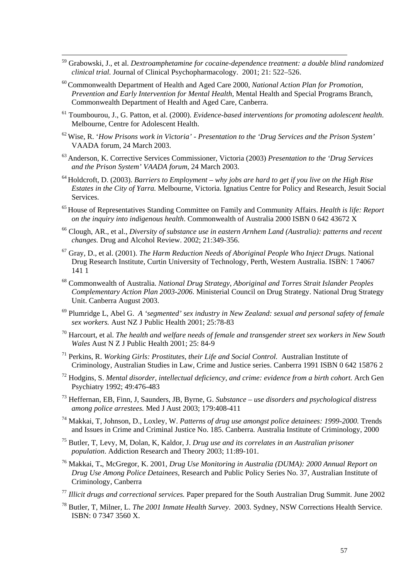- 59 Grabowski, J., et al. *Dextroamphetamine for cocaine-dependence treatment: a double blind randomized clinical trial.* Journal of Clinical Psychopharmacology. 2001; 21: 522–526.
- 60 Commonwealth Department of Health and Aged Care 2000, *National Action Plan for Promotion, Prevention and Early Intervention for Mental Health,* Mental Health and Special Programs Branch, Commonwealth Department of Health and Aged Care, Canberra.
- 61 Toumbourou, J., G. Patton, et al. (2000). *Evidence-based interventions for promoting adolescent health*. Melbourne, Centre for Adolescent Health.
- 62 Wise, R. '*How Prisons work in Victoria' Presentation to the 'Drug Services and the Prison System'* VAADA forum, 24 March 2003.
- 63 Anderson, K. Corrective Services Commissioner, Victoria (2003) *Presentation to the 'Drug Services and the Prison System' VAADA forum*, 24 March 2003.
- 64 Holdcroft, D. (2003). *Barriers to Employment why jobs are hard to get if you live on the High Rise Estates in the City of Yarra.* Melbourne, Victoria. Ignatius Centre for Policy and Research, Jesuit Social Services.
- 65 House of Representatives Standing Committee on Family and Community Affairs. *Health is life: Report on the inquiry into indigenous health*. Commonwealth of Australia 2000 ISBN 0 642 43672 X
- 66 Clough, AR., et al., *Diversity of substance use in eastern Arnhem Land (Australia): patterns and recent changes.* Drug and Alcohol Review. 2002; 21:349-356.
- 67 Gray, D., et al. (2001). *The Harm Reduction Needs of Aboriginal People Who Inject Drugs.* National Drug Research Institute, Curtin University of Technology, Perth, Western Australia. ISBN: 1 74067 141 1
- 68 Commonwealth of Australia. *National Drug Strategy, Aboriginal and Torres Strait Islander Peoples Complementary Action Plan 2003-2006*. Ministerial Council on Drug Strategy. National Drug Strategy Unit. Canberra August 2003.
- 69 Plumridge L, Abel G. *A 'segmented' sex industry in New Zealand: sexual and personal safety of female sex workers.* Aust NZ J Public Health 2001; 25:78-83
- <sup>70</sup> Harcourt, et al. *The health and welfare needs of female and transgender street sex workers in New South Wales* Aust N Z J Public Health 2001; 25: 84-9
- 71 Perkins, R. *Working Girls: Prostitutes, their Life and Social Control.* Australian Institute of Criminology, Australian Studies in Law, Crime and Justice series. Canberra 1991 ISBN 0 642 15876 2
- 72 Hodgins, S. *Mental disorder, intellectual deficiency, and crime: evidence from a birth cohort.* Arch Gen Psychiatry 1992; 49:476-483
- 73 Heffernan, EB, Finn, J, Saunders, JB, Byrne, G. *Substance use disorders and psychological distress among police arrestees.* Med J Aust 2003; 179:408-411
- 74 Makkai, T, Johnson, D., Loxley, W. *Patterns of drug use amongst police detainees: 1999-2000.* Trends and Issues in Crime and Criminal Justice No. 185. Canberra. Australia Institute of Criminology, 2000
- 75 Butler, T, Levy, M, Dolan, K, Kaldor, J. *Drug use and its correlates in an Australian prisoner population*. Addiction Research and Theory 2003; 11:89-101.
- 76 Makkai, T**.**, McGregor, K. 2001, *Drug Use Monitoring in Australia (DUMA): 2000 Annual Report on Drug Use Among Police Detainees,* Research and Public Policy Series No. 37, Australian Institute of Criminology, Canberra
- <sup>77</sup> *Illicit drugs and correctional services.* Paper prepared for the South Australian Drug Summit. June 2002
- 78 Butler, T, Milner, L. *The 2001 Inmate Health Survey*. 2003. Sydney, NSW Corrections Health Service. ISBN: 0 7347 3560 X.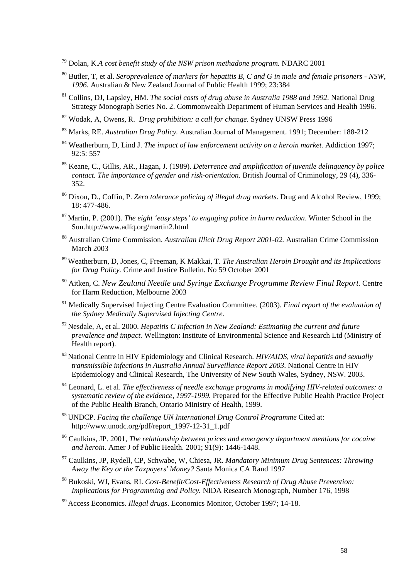79 Dolan, K.*A cost benefit study of the NSW prison methadone program.* NDARC 2001

- 80 Butler, T, et al. *Seroprevalence of markers for hepatitis B, C and G in male and female prisoners NSW, 1996*. Australian & New Zealand Journal of Public Health 1999; 23:384
- 81 Collins, DJ, Lapsley, HM. *The social costs of drug abuse in Australia 1988 and 1992.* National Drug Strategy Monograph Series No. 2. Commonwealth Department of Human Services and Health 1996.
- 82 Wodak, A, Owens, R. *Drug prohibition: a call for change.* Sydney UNSW Press 1996
- 83 Marks, RE. *Australian Drug Policy.* Australian Journal of Management. 1991; December: 188-212
- 84 Weatherburn, D, Lind J. *The impact of law enforcement activity on a heroin market.* Addiction 1997; 92:5: 557
- 85 Keane, C., Gillis, AR., Hagan, J. (1989). *Deterrence and amplification of juvenile delinquency by police contact. The importance of gender and risk-orientation*. British Journal of Criminology, 29 (4), 336- 352.
- 86 Dixon, D., Coffin, P. *Zero tolerance policing of illegal drug markets*. Drug and Alcohol Review, 1999; 18: 477-486.
- 87 Martin, P. (2001). *The eight 'easy steps' to engaging police in harm reduction*. Winter School in the Sun.http://www.adfq.org/martin2.html
- 88 Australian Crime Commission. *Australian Illicit Drug Report 2001-02.* Australian Crime Commission March 2003
- 89 Weatherburn, D, Jones, C, Freeman, K Makkai, T. *The Australian Heroin Drought and its Implications for Drug Policy.* Crime and Justice Bulletin. No 59 October 2001
- 90 Aitken, C. *New Zealand Needle and Syringe Exchange Programme Review Final Report.* Centre for Harm Reduction, Melbourne 2003
- 91 Medically Supervised Injecting Centre Evaluation Committee. (2003). *Final report of the evaluation of the Sydney Medically Supervised Injecting Centre.*
- 92 Nesdale, A, et al. 2000. *Hepatitis C Infection in New Zealand: Estimating the current and future prevalence and impact.* Wellington: Institute of Environmental Science and Research Ltd (Ministry of Health report).
- 93 National Centre in HIV Epidemiology and Clinical Research. *HIV/AIDS, viral hepatitis and sexually transmissible infections in Australia Annual Surveillance Report 2003*. National Centre in HIV Epidemiology and Clinical Research, The University of New South Wales, Sydney, NSW. 2003.
- 94 Leonard, L. et al. *The effectiveness of needle exchange programs in modifying HIV-related outcomes: a systematic review of the evidence, 1997-1999.* Prepared for the Effective Public Health Practice Project of the Public Health Branch, Ontario Ministry of Health, 1999.
- 95 UNDCP. *Facing the challenge UN International Drug Control Programme* Cited at: http://www.unodc.org/pdf/report\_1997-12-31\_1.pdf
- 96 Caulkins, JP. 2001, *The relationship between prices and emergency department mentions for cocaine and heroin.* Amer J of Public Health. 2001; 91(9): 1446-1448.
- 97 Caulkins, JP, Rydell, CP, Schwabe, W, Chiesa, JR. *Mandatory Minimum Drug Sentences: Throwing Away the Key or the Taxpayers' Money?* Santa Monica CA Rand 1997
- 98 Bukoski, WJ, Evans, RI. *Cost-Benefit/Cost-Effectiveness Research of Drug Abuse Prevention: Implications for Programming and Policy.* NIDA Research Monograph, Number 176, 1998
- 99 Access Economics. *Illegal drugs*. Economics Monitor, October 1997; 14-18.